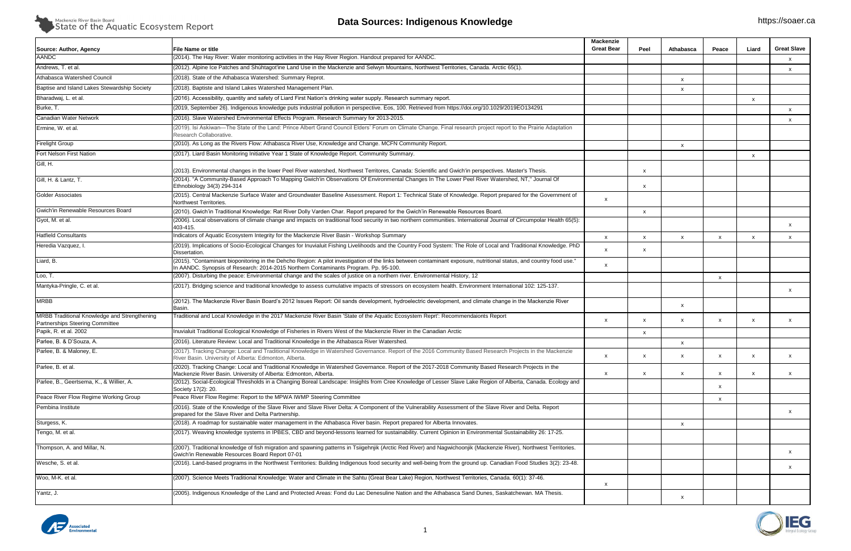

### **Mackenzie River Basin Board<br>State of the Aquatic Ecosystem Report**

### Data Sources: Indigenous Knowledge **https://soaer.ca**

| Source: Author, Agency                                                          | <b>File Name or title</b>                                                                                                                                                                                                                                    | <b>Mackenzie</b><br><b>Great Bear</b> | Peel                      | Athabasca                 | Peace                     | Liard                     | <b>Great Slave</b>        |
|---------------------------------------------------------------------------------|--------------------------------------------------------------------------------------------------------------------------------------------------------------------------------------------------------------------------------------------------------------|---------------------------------------|---------------------------|---------------------------|---------------------------|---------------------------|---------------------------|
| <b>AANDC</b>                                                                    | (2014). The Hay River: Water monitoring activities in the Hay River Region. Handout prepared for AANDC.                                                                                                                                                      |                                       |                           |                           |                           |                           | $\mathsf{x}$              |
| Andrews, T. et al.                                                              | (2012). Alpine Ice Patches and Shúhtagot'ine Land Use in the Mackenzie and Selwyn Mountains, Northwest Territories, Canada. Arctic 65(1).                                                                                                                    |                                       |                           |                           |                           |                           | $\mathbf{x}$              |
| Athabasca Watershed Council                                                     | (2018). State of the Athabasca Watershed: Summary Reprot.                                                                                                                                                                                                    |                                       |                           | $\boldsymbol{\mathsf{x}}$ |                           |                           |                           |
| Baptise and Island Lakes Stewardship Society                                    | (2018). Baptiste and Island Lakes Watershed Management Plan.                                                                                                                                                                                                 |                                       |                           | $\boldsymbol{\mathsf{x}}$ |                           |                           |                           |
| Bharadwaj, L. et al.                                                            | (2016). Accessibility, quantity and safety of Liard First Nation's drinking water supply. Research summary report.                                                                                                                                           |                                       |                           |                           |                           | $\boldsymbol{\mathsf{x}}$ |                           |
| Burke, T.                                                                       | (2019, September 26). Indigenous knowledge puts industrial pollution in perspective. Eos, 100. Retrieved from https://doi.org/10.1029/2019EO134291                                                                                                           |                                       |                           |                           |                           |                           | $\mathsf{x}$              |
| Canadian Water Network                                                          | (2016). Slave Watershed Environmental Effects Program. Research Summary for 2013-2015.                                                                                                                                                                       |                                       |                           |                           |                           |                           | $\mathbf{x}$              |
| Ermine, W. et al.                                                               | (2019). Isi Askiwan—The State of the Land: Prince Albert Grand Council Elders' Forum on Climate Change. Final research project report to the Prairie Adaptation<br>Research Collaborative.                                                                   |                                       |                           |                           |                           |                           |                           |
| <b>Firelight Group</b>                                                          | (2010). As Long as the Rivers Flow: Athabasca River Use, Knowledge and Change. MCFN Community Report.                                                                                                                                                        |                                       |                           | $\boldsymbol{\mathsf{x}}$ |                           |                           |                           |
| Fort Nelson First Nation                                                        | (2017). Liard Basin Monitoring Initiative Year 1 State of Knowledge Report. Community Summary.                                                                                                                                                               |                                       |                           |                           |                           | $\boldsymbol{\mathsf{x}}$ |                           |
| Gill, H.                                                                        | (2013). Environmental changes in the lower Peel River watershed, Northwest Territores, Canada: Scientific and Gwich'in perspectives. Master's Thesis.                                                                                                        |                                       | X                         |                           |                           |                           |                           |
| Gill, H. & Lantz, T.                                                            | (2014). "A Community-Based Approach To Mapping Gwich'in Observations Of Environmental Changes In The Lower Peel River Watershed, NT," Journal Of<br>Ethnobiology 34(3) 294-314                                                                               |                                       | $\boldsymbol{\mathsf{x}}$ |                           |                           |                           |                           |
| Golder Associates                                                               | (2015). Central Mackenzie Surface Water and Groundwater Baseline Assessment. Report 1: Technical State of Knowledge. Report prepared for the Government of<br>Northwest Territories.                                                                         | $\boldsymbol{\mathsf{x}}$             |                           |                           |                           |                           |                           |
| Gwich'in Renewable Resources Board                                              | (2010). Gwich'in Traditional Knowledge: Rat River Dolly Varden Char. Report prepared for the Gwich'in Renewable Resources Board.                                                                                                                             |                                       | $\mathbf{x}$              |                           |                           |                           |                           |
| Gyot, M. et al.                                                                 | (2006). Local observations of climate change and impacts on traditional food security in two northern communities. International Journal of Circumpolar Health 65(5):<br>403-415.                                                                            |                                       |                           |                           |                           |                           | $\mathbf{x}$              |
| <b>Hatfield Consultants</b>                                                     | Indicators of Aquatic Ecosystem Integrity for the Mackenzie River Basin - Workshop Summary                                                                                                                                                                   | $\mathsf{x}$                          | $\boldsymbol{\mathsf{x}}$ | $\mathsf{x}$              | $\mathsf{x}$              | $\mathbf{x}$              | $\mathbf{x}$              |
| Heredia Vazquez, I.                                                             | (2019). Implications of Socio-Ecological Changes for Inuvialuit Fishing Livelihoods and the Country Food System: The Role of Local and Traditional Knowledge. PhD<br>Dissertation.                                                                           | $\mathsf{x}$                          | x                         |                           |                           |                           |                           |
| Liard, B.                                                                       | (2015). "Contaminant bioponitoring in the Dehcho Region: A pilot investigation of the links between contaminant exposure, nutritional status, and country food use."<br>In AANDC. Synopsis of Research: 2014-2015 Northern Contaminants Program. Pp. 95-100. | $\mathsf{x}$                          |                           |                           |                           |                           |                           |
| Loo, T.                                                                         | (2007). Disturbing the peace: Environmental change and the scales of justice on a northern river. Environmental History, 12                                                                                                                                  |                                       |                           |                           | $\boldsymbol{\mathsf{x}}$ |                           |                           |
| Mantyka-Pringle, C. et al.                                                      | (2017). Bridging science and traditional knowledge to assess cumulative impacts of stressors on ecosystem health. Environment International 102: 125-137.                                                                                                    |                                       |                           |                           |                           |                           | $\mathbf{x}$              |
| <b>MRBB</b>                                                                     | (2012). The Mackenzie River Basin Board's 2012 Issues Report: Oil sands development, hydroelectric development, and climate change in the Mackenzie River<br>Basin.                                                                                          |                                       |                           | $\boldsymbol{\mathsf{x}}$ |                           |                           |                           |
| MRBB Traditional Knowledge and Strengthening<br>Partnerships Steering Committee | Traditional and Local Knowledge in the 2017 Mackenzie River Basin 'State of the Aquatic Ecosystem Reprt': Recommendaionts Report                                                                                                                             | $\boldsymbol{\mathsf{x}}$             | $\boldsymbol{\mathsf{x}}$ | X                         | X                         | X                         | $\mathsf{x}$              |
| Papik, R. et al. 2002                                                           | Inuvialuit Traditional Ecological Knowledge of Fisheries in Rivers West of the Mackenzie River in the Canadian Arctic                                                                                                                                        |                                       | $\mathbf{x}$              |                           |                           |                           |                           |
| Parlee, B. & D'Souza, A.                                                        | (2016). Literature Review: Local and Traditional Knowledge in the Athabasca River Watershed.                                                                                                                                                                 |                                       |                           | $\boldsymbol{\mathsf{x}}$ |                           |                           |                           |
| Parlee, B. & Maloney, E.                                                        | (2017). Tracking Change: Local and Traditional Knowledge in Watershed Governance. Report of the 2016 Community Based Research Projects in the Mackenzie<br>River Basin. University of Alberta: Edmonton, Alberta.                                            | $\mathsf{x}$                          | x                         | $\boldsymbol{\mathsf{x}}$ | $\mathsf{x}$              | $\boldsymbol{\mathsf{x}}$ | $\boldsymbol{\mathsf{x}}$ |
| Parlee, B. et al.                                                               | (2020). Tracking Change: Local and Traditional Knowledge in Watershed Governance. Report of the 2017-2018 Community Based Research Projects in the<br>Mackenzie River Basin. University of Alberta: Edmonton, Alberta.                                       | $\mathsf{x}$                          | $\boldsymbol{\mathsf{x}}$ | X                         | $\mathsf{x}$              | X                         | X                         |
| Parlee, B., Geertsema, K., & Willier, A.                                        | (2012). Social-Ecological Thresholds in a Changing Boreal Landscape: Insights from Cree Knowledge of Lesser Slave Lake Region of Alberta, Canada. Ecology and<br>Society 17(2): 20.                                                                          |                                       |                           |                           | $\boldsymbol{\mathsf{x}}$ |                           |                           |
| Peace River Flow Regime Working Group                                           | Peace River Flow Regime: Report to the MPWA IWMP Steering Committee                                                                                                                                                                                          |                                       |                           |                           | $\boldsymbol{\mathsf{x}}$ |                           |                           |
| Pembina Institute                                                               | (2016). State of the Knowledge of the Slave River and Slave River Delta: A Component of the Vulnerability Assessment of the Slave River and Delta. Report<br>prepared for the Slave River and Delta Partnership.                                             |                                       |                           |                           |                           |                           | X                         |
| Sturgess, K.                                                                    | (2018). A roadmap for sustainable water management in the Athabasca River basin. Report prepared for Alberta Innovates.                                                                                                                                      |                                       |                           | $\boldsymbol{\mathsf{x}}$ |                           |                           |                           |
| Tengo, M. et al.                                                                | (2017). Weaving knowledge systems in IPBES, CBD and beyond-lessons learned for sustainability. Current Opinion in Environmental Sustainability 26: 17-25.                                                                                                    |                                       |                           |                           |                           |                           |                           |
| Thompson, A. and Millar, N.                                                     | (2007). Traditional knowledge of fish migration and spawning patterns in Tsiigehnjik (Arctic Red River) and Nagwichoonjik (Mackenzie River), Northwest Territories.<br>Gwich'in Renewable Resources Board Report 07-01                                       |                                       |                           |                           |                           |                           | $\boldsymbol{\mathsf{x}}$ |
| Wesche, S. et al.                                                               | (2016). Land-based programs in the Northwest Territories: Building Indigenous food security and well-being from the ground up. Canadian Food Studies 3(2): 23-48.                                                                                            |                                       |                           |                           |                           |                           | $\boldsymbol{\mathsf{x}}$ |
| Woo, M-K. et al.                                                                | (2007). Science Meets Traditional Knowledge: Water and Climate in the Sahtu (Great Bear Lake) Region, Northwest Territories, Canada. 60(1): 37-46.                                                                                                           | $\mathsf{x}$                          |                           |                           |                           |                           |                           |
| Yantz, J.                                                                       | (2005). Indigenous Knowledge of the Land and Protected Areas: Fond du Lac Denesuline Nation and the Athabasca Sand Dunes, Saskatchewan. MA Thesis.                                                                                                           |                                       |                           | х                         |                           |                           |                           |



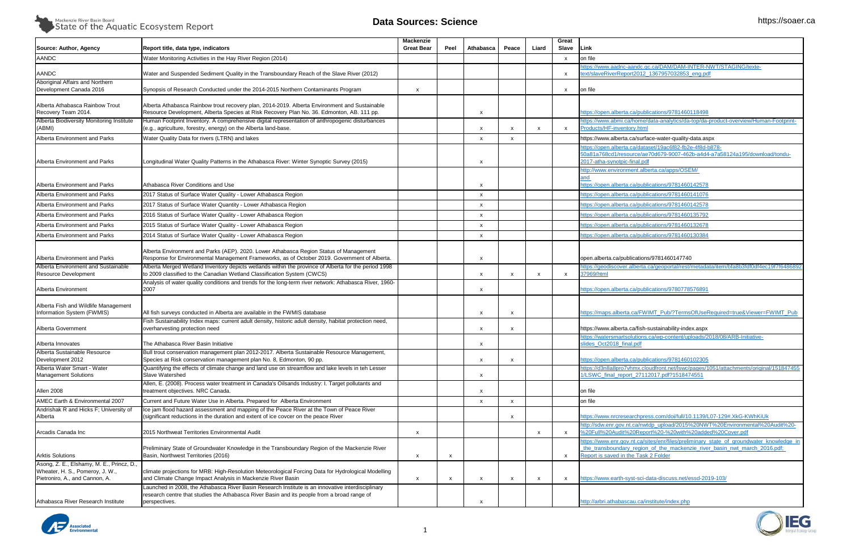

| Link                                                                                                                                    |
|-----------------------------------------------------------------------------------------------------------------------------------------|
| on file                                                                                                                                 |
| https://www.aadnc-aandc.gc.ca/DAM/DAM-INTER-NWT/STAGING/texte-                                                                          |
| text/slaveRiverReport2012_1367957032853_eng.pdf                                                                                         |
| on file                                                                                                                                 |
|                                                                                                                                         |
| https://open.alberta.ca/publications/9781460118498                                                                                      |
| https://www.abmi.ca/home/data-analytics/da-top/da-product-overview/Human-Footprint-                                                     |
| Products/HF-inventory.html                                                                                                              |
| https://www.alberta.ca/surface-water-quality-data.aspx                                                                                  |
| https://open.alberta.ca/dataset/19ac6f82-fb2e-4f8d-b878-                                                                                |
| 50a81a768cd1/resource/ae70d679-9007-462b-a4d4-a7a58124a195/download/tondu-<br>2017-atha-synotpic-final.pdf                              |
| http://www.environment.alberta.ca/apps/OSEM/                                                                                            |
| and                                                                                                                                     |
| https://open.alberta.ca/publications/9781460142578                                                                                      |
| https://open.alberta.ca/publications/9781460141076                                                                                      |
| https://open.alberta.ca/publications/9781460142578                                                                                      |
| https://open.alberta.ca/publications/9781460135792                                                                                      |
| https://open.alberta.ca/publications/9781460132678                                                                                      |
| https://open.alberta.ca/publications/9781460130384                                                                                      |
|                                                                                                                                         |
| open.alberta.ca/publications/9781460147740                                                                                              |
| https://geodiscover.alberta.ca/geoportal/rest/metadata/item/bfa8b3fdf0df4ec19f7f6486892                                                 |
| 37969/html                                                                                                                              |
| https://open.alberta.ca/publications/9780778576891                                                                                      |
|                                                                                                                                         |
| https://maps.alberta.ca/FWIMT_Pub/?TermsOfUseRequired=true&Viewer=FWIMT_Pub                                                             |
|                                                                                                                                         |
| https://www.alberta.ca/fish-sustainability-index.aspx                                                                                   |
| https://watersmartsolutions.ca/wp-content/uploads/2018/08/ARB-Initiative-                                                               |
| slides_Oct2018_final.pdf                                                                                                                |
| https://open.alberta.ca/publications/9781460102305                                                                                      |
| https://d3n8a8pro7vhmx.cloudfront.net/lswc/pages/1051/attachments/original/151847455                                                    |
| 1/LSWC_final_report_27112017.pdf?1518474551                                                                                             |
| on file                                                                                                                                 |
| on file                                                                                                                                 |
|                                                                                                                                         |
| https://www.nrcresearchpress.com/doi/full/10.1139/L07-129#.XkG-KWhKiUk                                                                  |
| http://sdw.enr.gov.nt.ca/nwtdp_upload/2015%20NWT%20Environmental%20Audit%20-<br>%20Full%20Audit%20Report%20-%20with%20added%20Cover.pdf |
| https://www.enr.gov.nt.ca/sites/enr/files/preliminary_state_of_groundwater_knowledge_in                                                 |
| the transboundary region of the mackenzie river basin nwt march 2016.pdf;<br>Report is saved in the Task 2 Folder                       |
|                                                                                                                                         |
|                                                                                                                                         |
| https://www.earth-syst-sci-data-discuss.net/essd-2019-103/                                                                              |
|                                                                                                                                         |
| http://arbri.athabascau.ca/institute/index.php                                                                                          |



| Source: Author, Agency                                                                                         | Report title, data type, indicators                                                                                                                                                                                                                                                                                                                                       | <b>Mackenzie</b><br><b>Great Bear</b> | Peel | Athabasca                 | Peace                     | Liard                     | Great<br>Slave            | <b>ILink</b>                                                                                                                                                                                                          |
|----------------------------------------------------------------------------------------------------------------|---------------------------------------------------------------------------------------------------------------------------------------------------------------------------------------------------------------------------------------------------------------------------------------------------------------------------------------------------------------------------|---------------------------------------|------|---------------------------|---------------------------|---------------------------|---------------------------|-----------------------------------------------------------------------------------------------------------------------------------------------------------------------------------------------------------------------|
| <b>AANDC</b>                                                                                                   | Water Monitoring Activities in the Hay River Region (2014)                                                                                                                                                                                                                                                                                                                |                                       |      |                           |                           |                           | $\boldsymbol{\mathsf{x}}$ | on file                                                                                                                                                                                                               |
| AANDC                                                                                                          | Water and Suspended Sediment Quality in the Transboundary Reach of the Slave River (2012)                                                                                                                                                                                                                                                                                 |                                       |      |                           |                           |                           | $\boldsymbol{\mathsf{x}}$ | ttps://www.aadnc-aandc.gc.ca/DAM/DAM-INTER-NWT/STAGING/texte-<br>text/slaveRiverReport2012_1367957032853_eng.pdf                                                                                                      |
| Aboriginal Affairs and Northern<br>Development Canada 2016                                                     | Synopsis of Research Conducted under the 2014-2015 Northern Contaminants Program                                                                                                                                                                                                                                                                                          | $\boldsymbol{\mathsf{x}}$             |      |                           |                           |                           | $\mathsf{x}$              | on file                                                                                                                                                                                                               |
| Alberta Athabasca Rainbow Trout<br>Recovery Team 2014.                                                         | Alberta Athabasca Rainbow trout recovery plan, 2014-2019. Alberta Environment and Sustainable<br>Resource Development, Alberta Species at Risk Recovery Plan No. 36. Edmonton, AB. 111 pp.                                                                                                                                                                                |                                       |      |                           |                           |                           |                           | https://open.alberta.ca/publications/9781460118498                                                                                                                                                                    |
| Alberta Biodiversity Monitoring Institute<br>(ABMI)                                                            | Human Footprint Inventory. A comprehensive digital representation of anthropogenic disturbances<br>(e.g., agriculture, forestry, energy) on the Alberta land-base.                                                                                                                                                                                                        |                                       |      | $\mathbf{x}$              |                           | $\boldsymbol{\mathsf{x}}$ | $\boldsymbol{\mathsf{x}}$ | https://www.abmi.ca/home/data-analytics/da-top/da-product-overview/Human-Footprint-<br>Products/HF-inventory.html                                                                                                     |
| Alberta Environment and Parks                                                                                  | Water Quality Data for rivers (LTRN) and lakes                                                                                                                                                                                                                                                                                                                            |                                       |      | $\mathbf{x}$              | x                         |                           |                           | https://www.alberta.ca/surface-water-quality-data.aspx                                                                                                                                                                |
| Alberta Environment and Parks                                                                                  | Longitudinal Water Quality Patterns in the Athabasca River: Winter Synoptic Survey (2015)                                                                                                                                                                                                                                                                                 |                                       |      | $\boldsymbol{\mathsf{x}}$ |                           |                           |                           | ttps://open.alberta.ca/dataset/19ac6f82-fb2e-4f8d-b878-<br>50a81a768cd1/resource/ae70d679-9007-462b-a4d4-a7a58124a195/download/tondu-<br>2017-atha-synotpic-final.pdf<br>http://www.environment.alberta.ca/apps/OSEM/ |
| Alberta Environment and Parks                                                                                  | Athabasca River Conditions and Use                                                                                                                                                                                                                                                                                                                                        |                                       |      |                           |                           |                           |                           | ttps://open.alberta.ca/publications/9781460142578                                                                                                                                                                     |
| Alberta Environment and Parks                                                                                  | 2017 Status of Surface Water Quality - Lower Athabasca Region                                                                                                                                                                                                                                                                                                             |                                       |      |                           |                           |                           |                           | ttps://open.alberta.ca/publications/9781460141076                                                                                                                                                                     |
| Alberta Environment and Parks                                                                                  | 2017 Status of Surface Water Quantity - Lower Athabasca Region                                                                                                                                                                                                                                                                                                            |                                       |      | $\mathbf{x}$              |                           |                           |                           | ttps://open.alberta.ca/publications/9781460142578                                                                                                                                                                     |
| Alberta Environment and Parks                                                                                  | 2016 Status of Surface Water Quality - Lower Athabasca Region                                                                                                                                                                                                                                                                                                             |                                       |      |                           |                           |                           |                           | ttps://open.alberta.ca/publications/9781460135792                                                                                                                                                                     |
| Alberta Environment and Parks                                                                                  | 2015 Status of Surface Water Quality - Lower Athabasca Region                                                                                                                                                                                                                                                                                                             |                                       |      |                           |                           |                           |                           | ttps://open.alberta.ca/publications/9781460132678                                                                                                                                                                     |
| Alberta Environment and Parks                                                                                  | 2014 Status of Surface Water Quality - Lower Athabasca Region                                                                                                                                                                                                                                                                                                             |                                       |      |                           |                           |                           |                           | ttps://open.alberta.ca/publications/9781460130384                                                                                                                                                                     |
| Alberta Environment and Parks<br>Alberta Environment and Sustainable<br>Resource Development                   | Alberta Environment and Parks (AEP). 2020. Lower Athabasca Region Status of Management<br>Response for Environmental Management Frameworks, as of October 2019. Government of Alberta.<br>Alberta Merged Wetland Inventory depicts wetlands within the province of Alberta for the period 1998<br>to 2009 classified to the Canadian Wetland Classification System (CWCS) |                                       |      |                           |                           | $\boldsymbol{\mathsf{x}}$ | $\boldsymbol{\mathsf{x}}$ | open.alberta.ca/publications/9781460147740<br>https://geodiscover.alberta.ca/geoportal/rest/metadata/item/bfa8b3fdf0df4ec19f7f64868<br>37969/html                                                                     |
| Alberta Environment                                                                                            | Analysis of water quality conditions and trends for the long-term river network: Athabasca River, 1960-<br>2007                                                                                                                                                                                                                                                           |                                       |      |                           |                           |                           |                           | https://open.alberta.ca/publications/9780778576891                                                                                                                                                                    |
| Alberta Fish and Wildlife Management<br>Information System (FWMIS)                                             | All fish surveys conducted in Alberta are available in the FWMIS database<br>Fish Sustainability Index maps: current adult density, historic adult density, habitat protection need,                                                                                                                                                                                      |                                       |      |                           | X                         |                           |                           | https://maps.alberta.ca/FWIMT_Pub/?TermsOfUseRequired=true&Viewer=FWIMT_Pub                                                                                                                                           |
| Alberta Government                                                                                             | overharvesting protection need                                                                                                                                                                                                                                                                                                                                            |                                       |      |                           |                           |                           |                           | https://www.alberta.ca/fish-sustainability-index.aspx                                                                                                                                                                 |
| Alberta Innovates                                                                                              | The Athabasca River Basin Initiative                                                                                                                                                                                                                                                                                                                                      |                                       |      | X                         |                           |                           |                           | https://watersmartsolutions.ca/wp-content/uploads/2018/08/ARB-Initiative-<br>slides_Oct2018_final.pdf                                                                                                                 |
| Alberta Sustainable Resource<br>Development 2012                                                               | Bull trout conservation management plan 2012-2017. Alberta Sustainable Resource Management,<br>Species at Risk conservation management plan No. 8, Edmonton, 90 pp.                                                                                                                                                                                                       |                                       |      |                           | x                         |                           |                           | https://open.alberta.ca/publications/9781460102305                                                                                                                                                                    |
| Alberta Water Smart - Water<br><b>Management Solutions</b>                                                     | Quantifying the effects of climate change and land use on streamflow and lake levels in teh Lesser<br>Slave Watershed                                                                                                                                                                                                                                                     |                                       |      | x                         |                           |                           |                           | https://d3n8a8pro7vhmx.cloudfront.net/lswc/pages/1051/attachments/original/15184745<br>1/LSWC_final_report_27112017.pdf?1518474551                                                                                    |
| <b>Allen 2008</b>                                                                                              | Allen, E. (2008). Process water treatment in Canada's Oilsands Industry: I. Target pollutants and<br>treatment objectives. NRC Canada.                                                                                                                                                                                                                                    |                                       |      |                           |                           |                           |                           | on file                                                                                                                                                                                                               |
| AMEC Earth & Environmental 2007                                                                                | Current and Future Water Use in Alberta. Prepared for Alberta Environment                                                                                                                                                                                                                                                                                                 |                                       |      | $\mathbf{x}$              | $\boldsymbol{\mathsf{x}}$ |                           |                           | on file                                                                                                                                                                                                               |
| Andrishak R and Hicks F; University of<br>Alberta                                                              | Ice jam flood hazard assessment and mapping of the Peace River at the Town of Peace River<br>(significant reductions in the duration and extent of ice covcer on the peace River                                                                                                                                                                                          |                                       |      |                           | $\boldsymbol{\mathsf{x}}$ |                           |                           | ittps://www.nrcresearchpress.com/doi/full/10.1139/L07-129#.XkG-KWhKiUk                                                                                                                                                |
| Arcadis Canada Inc                                                                                             | 2015 Northweat Territories Environmental Audit                                                                                                                                                                                                                                                                                                                            | $\mathsf{x}$                          |      |                           |                           | $\boldsymbol{\mathsf{x}}$ | $\boldsymbol{\mathsf{x}}$ | -ttp://sdw.enr.gov.nt.ca/nwtdp_upload/2015%20NWT%20Environmental%20Audit%20<br>%20Full%20Audit%20Report%20-%20with%20added%20Cover.pdf                                                                                |
| <b>Arktis Solutions</b>                                                                                        | Preliminary State of Groundwater Knowledge in the Transboundary Region of the Mackenzie River<br>Basin, Northwest Territories (2016)                                                                                                                                                                                                                                      | $\boldsymbol{\mathsf{x}}$             |      |                           |                           |                           | $\boldsymbol{\mathsf{x}}$ | ittps://www.enr.gov.nt.ca/sites/enr/files/preliminary_state_of_groundwater_knowledge_i<br>the transboundary region of the mackenzie river basin nwt march 2016.pdf;<br>Report is saved in the Task 2 Folder           |
| Asong, Z. E., Elshamy, M. E., Princz, D.,<br>Wheater, H. S., Pomeroy, J. W.,<br>Pietroniro, A., and Cannon, A. | climate projections for MRB: High-Resolution Meteorological Forcing Data for Hydrological Modelling<br>and Climate Change Impact Analysis in Mackenzie River Basin                                                                                                                                                                                                        | $\boldsymbol{\mathsf{x}}$             |      |                           | X                         | $\boldsymbol{\mathsf{x}}$ | $\boldsymbol{\mathsf{x}}$ | https://www.earth-syst-sci-data-discuss.net/essd-2019-103/                                                                                                                                                            |
| Athabasca River Research Institute                                                                             | Launched in 2008, the Athabasca River Basin Research Institute is an innovative interdisciplinary<br>research centre that studies the Athabasca River Basin and its people from a broad range of<br>perspectives.                                                                                                                                                         |                                       |      |                           |                           |                           |                           | ttp://arbri.athabascau.ca/institute/index.php                                                                                                                                                                         |

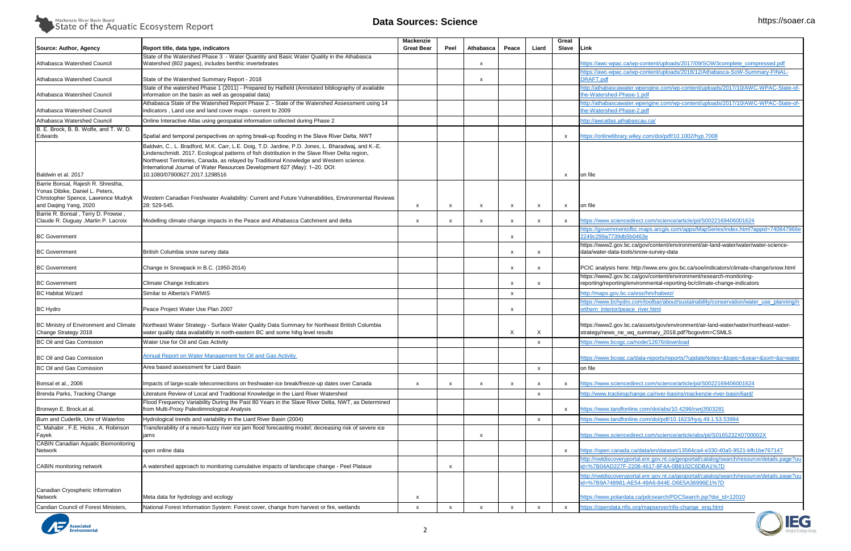

| Link                                                                                                                                                                                                                                                         |  |
|--------------------------------------------------------------------------------------------------------------------------------------------------------------------------------------------------------------------------------------------------------------|--|
| https://awc-wpac.ca/wp-content/uploads/2017/09/SOW3complete_compressed.pdf                                                                                                                                                                                   |  |
| https://awc-wpac.ca/wp-content/uploads/2018/12/Athabasca-SoW-Summary-FINAL-                                                                                                                                                                                  |  |
| DRAFT.pdf                                                                                                                                                                                                                                                    |  |
| http://athabascawater.wpengine.com/wp-content/uploads/2017/10/AWC-WPAC-State-of-                                                                                                                                                                             |  |
| the-Watershed-Phase-1.pdf<br>http://athabascawater.wpengine.com/wp-content/uploads/2017/10/AWC-WPAC-State-of-                                                                                                                                                |  |
| the-Watershed-Phase-2.pdf                                                                                                                                                                                                                                    |  |
| http://awcatlas.athabascau.ca/                                                                                                                                                                                                                               |  |
|                                                                                                                                                                                                                                                              |  |
| https://onlinelibrary.wiley.com/doi/pdf/10.1002/hyp.7008                                                                                                                                                                                                     |  |
|                                                                                                                                                                                                                                                              |  |
|                                                                                                                                                                                                                                                              |  |
| on file                                                                                                                                                                                                                                                      |  |
|                                                                                                                                                                                                                                                              |  |
|                                                                                                                                                                                                                                                              |  |
| on file                                                                                                                                                                                                                                                      |  |
| https://www.sciencedirect.com/science/article/pii/S0022169406001624                                                                                                                                                                                          |  |
| https://governmentofbc.maps.arcgis.com/apps/MapSeries/index.html?appid=740847966e                                                                                                                                                                            |  |
| 2249c299a7739db5b0463e                                                                                                                                                                                                                                       |  |
| https://www2.gov.bc.ca/gov/content/environment/air-land-water/water/water-science-                                                                                                                                                                           |  |
| data/water-data-tools/snow-survey-data                                                                                                                                                                                                                       |  |
| PCIC analysis here: http://www.env.gov.bc.ca/soe/indicators/climate-change/snow.html                                                                                                                                                                         |  |
| https://www2.gov.bc.ca/gov/content/environment/research-monitoring-                                                                                                                                                                                          |  |
| reporting/reporting/environmental-reporting-bc/climate-change-indicators                                                                                                                                                                                     |  |
| http://maps.gov.bc.ca/ess/hm/habwiz/                                                                                                                                                                                                                         |  |
| https://www.bchydro.com/toolbar/about/sustainability/conservation/water_use_planning/n                                                                                                                                                                       |  |
| orthern_interior/peace_river.html                                                                                                                                                                                                                            |  |
| https://www2.gov.bc.ca/assets/gov/environment/air-land-water/water/northeast-water-<br>strategy/news_ne_wq_summary_2018.pdf?bcgovtm=CSMLS                                                                                                                    |  |
| https://www.bcogc.ca/node/12676/download                                                                                                                                                                                                                     |  |
| https://www.bcogc.ca/data-reports/reports/?updateNotes=&topic=&year=&sort=&q=water                                                                                                                                                                           |  |
| on file                                                                                                                                                                                                                                                      |  |
|                                                                                                                                                                                                                                                              |  |
| https://www.sciencedirect.com/science/article/pii/S0022169406001624                                                                                                                                                                                          |  |
| http://www.trackingchange.ca/river-basins/mackenzie-river-basin/liard/                                                                                                                                                                                       |  |
| https://www.tandfonline.com/doi/abs/10.4296/cwrj3503281                                                                                                                                                                                                      |  |
| https://www.tandfonline.com/doi/pdf/10.1623/hysj.49.1.53.53994                                                                                                                                                                                               |  |
| https://www.sciencedirect.com/science/article/abs/pii/S0165232X0700002X                                                                                                                                                                                      |  |
|                                                                                                                                                                                                                                                              |  |
|                                                                                                                                                                                                                                                              |  |
|                                                                                                                                                                                                                                                              |  |
| https://open.canada.ca/data/en/dataset/13564ca4-e330-40a5-9521-bfb1be767147<br>http://nwtdiscoveryportal.enr.gov.nt.ca/geoportal/catalog/search/resource/details.page?uu                                                                                     |  |
|                                                                                                                                                                                                                                                              |  |
|                                                                                                                                                                                                                                                              |  |
| id=%7B04AD227F-2208-4617-8F4A-0B8102C6DBA1%7D<br>http://nwtdiscoveryportal.enr.gov.nt.ca/geoportal/catalog/search/resource/details.page?uu<br>id=%7B9A748981-AE54-49A6-844E-D6E5A36996E1%7D<br>https://www.polardata.ca/pdcsearch/PDCSearch.jsp?doi_id=12010 |  |

| Source: Author, Agency                                                                                                                | Report title, data type, indicators                                                                                                                                                                                                                                                                                                                                                                           | Mackenzie<br><b>Great Bear</b> | Peel                      | Athabasca                 | Peace                     | Liard                     | Great<br>Slave | Link                                                                                                                                            |
|---------------------------------------------------------------------------------------------------------------------------------------|---------------------------------------------------------------------------------------------------------------------------------------------------------------------------------------------------------------------------------------------------------------------------------------------------------------------------------------------------------------------------------------------------------------|--------------------------------|---------------------------|---------------------------|---------------------------|---------------------------|----------------|-------------------------------------------------------------------------------------------------------------------------------------------------|
| Athabasca Watershed Council                                                                                                           | State of the Watershed Phase 3 - Water Quantity and Basic Water Quality in the Athabasca<br>Watershed (802 pages), includes benthic invertebrates                                                                                                                                                                                                                                                             |                                |                           | X                         |                           |                           |                | https://awc-wpac.ca/wp-content/uploads/2017/09/SOW3complete_compressed.pdf                                                                      |
|                                                                                                                                       |                                                                                                                                                                                                                                                                                                                                                                                                               |                                |                           |                           |                           |                           |                | https://awc-wpac.ca/wp-content/uploads/2018/12/Athabasca-SoW-Summary-FINAL-                                                                     |
| Athabasca Watershed Council                                                                                                           | State of the Watershed Summary Report - 2018                                                                                                                                                                                                                                                                                                                                                                  |                                |                           | $\boldsymbol{\mathsf{x}}$ |                           |                           |                | <b>DRAFT.pdf</b>                                                                                                                                |
| Athabasca Watershed Council                                                                                                           | State of the watershed Phase 1 (2011) - Prepared by Hatfield (Annotated bibliography of available<br>information on the basin as well as geospatial data)                                                                                                                                                                                                                                                     |                                |                           |                           |                           |                           |                | http://athabascawater.wpengine.com/wp-content/uploads/2017/10/AWC-WPAC-State-of-<br>the-Watershed-Phase-1.pdf                                   |
| Athabasca Watershed Council                                                                                                           | Athabasca State of the Watershed Report Phase 2. - State of the Watershed Assessment using 14<br>indicators, Land use and land cover maps - current to 2009                                                                                                                                                                                                                                                   |                                |                           |                           |                           |                           |                | http://athabascawater.wpengine.com/wp-content/uploads/2017/10/AWC-WPAC-State-of-<br>the-Watershed-Phase-2.pdf                                   |
| Athabasca Watershed Council                                                                                                           | Online Interactive Atlas using geospatial information collected during Phase 2                                                                                                                                                                                                                                                                                                                                |                                |                           |                           |                           |                           |                | http://awcatlas.athabascau.ca/                                                                                                                  |
| B. E. Brock, B. B. Wolfe, and T. W. D.<br>Edwards                                                                                     | Spatial and temporal perspectives on spring break-up flooding in the Slave River Delta, NWT                                                                                                                                                                                                                                                                                                                   |                                |                           |                           |                           |                           | $\mathsf{x}$   | https://onlinelibrary.wiley.com/doi/pdf/10.1002/hyp.7008                                                                                        |
| Baldwin et al. 2017                                                                                                                   | Baldwin, C., L. Bradford, M.K. Carr, L.E. Doig, T.D. Jardine, P.D. Jones, L. Bharadwaj, and K.-E.<br>Lindenschmidt. 2017. Ecological patterns of fish distribution in the Slave River Delta region,<br>Northwest Territories, Canada, as relayed by Traditional Knowledge and Western science.<br>International Journal of Water Resources Development 627 (May): 1-20. DOI:<br>10.1080/07900627.2017.1298516 |                                |                           |                           |                           |                           | X              | on file                                                                                                                                         |
| Barrie Bonsal, Rajesh R. Shrestha,<br>Yonas Dibike, Daniel L. Peters,<br>Christopher Spence, Lawrence Mudryk<br>and Daqing Yang, 2020 | Western Canadian Freshwater Availability: Current and Future Vulnerabilities, Environmental Reviews<br>28: 529-545.                                                                                                                                                                                                                                                                                           | X                              | $\times$                  | $\times$                  | $\times$                  | X                         | X              | on file                                                                                                                                         |
| Barrie R. Bonsal, Terry D. Prowse,<br>Claude R. Duguay , Martin P. Lacroix                                                            | Modelling climate change impacts in the Peace and Athabasca Catchment and delta                                                                                                                                                                                                                                                                                                                               |                                |                           |                           |                           |                           |                | https://www.sciencedirect.com/science/article/pii/S0022169406001624                                                                             |
| <b>BC Government</b>                                                                                                                  |                                                                                                                                                                                                                                                                                                                                                                                                               | X                              | $\times$                  | X                         | $\times$<br>$\times$      | $\boldsymbol{\mathsf{x}}$ | X              | https://governmentofbc.maps.arcgis.com/apps/MapSeries/index.html?appid=7408479666<br>2249c299a7739db5b0463e                                     |
| <b>BC Government</b>                                                                                                                  | British Columbia snow survey data                                                                                                                                                                                                                                                                                                                                                                             |                                |                           |                           | $\times$                  |                           |                | https://www2.gov.bc.ca/gov/content/environment/air-land-water/water/water-science-<br>data/water-data-tools/snow-survey-data                    |
| <b>BC Government</b>                                                                                                                  | Change in Snowpack in B.C. (1950-2014)                                                                                                                                                                                                                                                                                                                                                                        |                                |                           |                           |                           |                           |                | PCIC analysis here: http://www.env.gov.bc.ca/soe/indicators/climate-change/snow.html                                                            |
| <b>BC Government</b>                                                                                                                  | Climate Change Indicators                                                                                                                                                                                                                                                                                                                                                                                     |                                |                           |                           | X                         | $\boldsymbol{\mathsf{x}}$ |                | https://www2.gov.bc.ca/gov/content/environment/research-monitoring-<br>reporting/reporting/environmental-reporting-bc/climate-change-indicators |
| <b>BC Habitat Wizard</b>                                                                                                              | Similar to Alberta's FWMIS                                                                                                                                                                                                                                                                                                                                                                                    |                                |                           |                           | $\boldsymbol{\mathsf{x}}$ |                           |                | http://maps.gov.bc.ca/ess/hm/habwiz/                                                                                                            |
| <b>BC Hydro</b>                                                                                                                       | Peace Project Water Use Plan 2007                                                                                                                                                                                                                                                                                                                                                                             |                                |                           |                           |                           |                           |                | ittps://www.bchydro.com/toolbar/about/sustainability/conservation/water use planning/n<br>orthern_interior/peace_river.html                     |
| BC Ministry of Environment and Climate<br>Change Strategy 2018                                                                        | Northeast Water Strategy - Surface Water Quality Data Summary for Northeast British Columbia<br>water quality data availability in north-eastern BC and some hihg level results                                                                                                                                                                                                                               |                                |                           |                           | X                         | X                         |                | https://www2.gov.bc.ca/assets/gov/environment/air-land-water/water/northeast-water-<br>strategy/news_ne_wq_summary_2018.pdf?bcgovtm=CSMLS       |
| BC Oil and Gas Comission                                                                                                              | Water Use for Oil and Gas Activity                                                                                                                                                                                                                                                                                                                                                                            |                                |                           |                           |                           | $\boldsymbol{\mathsf{x}}$ |                | https://www.bcogc.ca/node/12676/download                                                                                                        |
| BC Oil and Gas Comission                                                                                                              | Annual Report on Water Management for Oil and Gas Activity                                                                                                                                                                                                                                                                                                                                                    |                                |                           |                           |                           |                           |                | https://www.bcogc.ca/data-reports/reports/?updateNotes=&topic=&year=&sort=&q=water                                                              |
| BC Oil and Gas Comission                                                                                                              | Area based assessment for Liard Basin                                                                                                                                                                                                                                                                                                                                                                         |                                |                           |                           |                           | $\mathsf{x}$              |                | on file                                                                                                                                         |
| Bonsal et al., 2006                                                                                                                   | Impacts of large-scale teleconnections on freshwater-ice break/freeze-up dates over Canada                                                                                                                                                                                                                                                                                                                    | x                              | $\times$                  | X                         | $\boldsymbol{\mathsf{x}}$ | X                         | X              | https://www.sciencedirect.com/science/article/pii/S0022169406001624                                                                             |
| Brenda Parks, Tracking Change                                                                                                         | Literature Review of Local and Traditional Knowledge in the Liard River Watershed                                                                                                                                                                                                                                                                                                                             |                                |                           |                           |                           | $\boldsymbol{\mathsf{x}}$ |                | http://www.trackingchange.ca/river-basins/mackenzie-river-basin/liard/                                                                          |
| Bronwyn E. Brock, et al.                                                                                                              | Flood Frequency Variability During the Past 80 Years in the Slave River Delta, NWT, as Determined<br>from Multi-Proxy Paleolimnological Analysis                                                                                                                                                                                                                                                              |                                |                           |                           |                           |                           | $\mathsf{x}$   | https://www.tandfonline.com/doi/abs/10.4296/cwrj3503281                                                                                         |
| Burn and Cuderlik, Unv of Waterloo                                                                                                    | Hydrological trends and variability in the Liard River Basin (2004)                                                                                                                                                                                                                                                                                                                                           |                                |                           |                           |                           | $\boldsymbol{\mathsf{x}}$ |                | https://www.tandfonline.com/doi/pdf/10.1623/hysj.49.1.53.53994                                                                                  |
| C. Mahabir, F.E. Hicks, A. Robinson<br>Fayek                                                                                          | Transferability of a neuro-fuzzy river ice jam flood forecasting model; decreasing risk of severe ice<br>jams                                                                                                                                                                                                                                                                                                 |                                |                           | $\boldsymbol{\mathsf{x}}$ |                           |                           |                | https://www.sciencedirect.com/science/article/abs/pii/S0165232X0700002X                                                                         |
| <b>CABIN Canadian Aquatic Biomonitoring</b><br>Network                                                                                | open online data                                                                                                                                                                                                                                                                                                                                                                                              |                                |                           |                           |                           |                           | x              | https://open.canada.ca/data/en/dataset/13564ca4-e330-40a5-9521-bfb1be767147                                                                     |
| <b>CABIN</b> monitoring network                                                                                                       | A watershed approach to monitoring cumulative impacts of landscape change - Peel Plataue                                                                                                                                                                                                                                                                                                                      |                                | $\boldsymbol{\mathsf{x}}$ |                           |                           |                           |                | ttp://nwtdiscoveryportal.enr.gov.nt.ca/geoportal/catalog/search/resource/details.page?u<br>id=%7B04AD227F-2208-4617-8F4A-0B8102C6DBA1%7D        |
| Canadian Cryospheric Information                                                                                                      |                                                                                                                                                                                                                                                                                                                                                                                                               |                                |                           |                           |                           |                           |                | http://nwtdiscoveryportal.enr.gov.nt.ca/geoportal/catalog/search/resource/details.page?u<br>id=%7B9A748981-AE54-49A6-844E-D6E5A36996E1%7D       |
| Network                                                                                                                               | Meta data for hydrology and ecology                                                                                                                                                                                                                                                                                                                                                                           | x                              |                           |                           |                           |                           |                | https://www.polardata.ca/pdcsearch/PDCSearch.jsp?doi_id=12010                                                                                   |
| Candian Council of Forest Ministers,                                                                                                  | National Forest Information System: Forest cover, change from harvest or fire, wetlands                                                                                                                                                                                                                                                                                                                       | X                              | X                         |                           | X                         | $\boldsymbol{\mathsf{x}}$ | $\mathsf{x}$   | https://opendata.nfis.org/mapserver/nfis-change_eng.html                                                                                        |

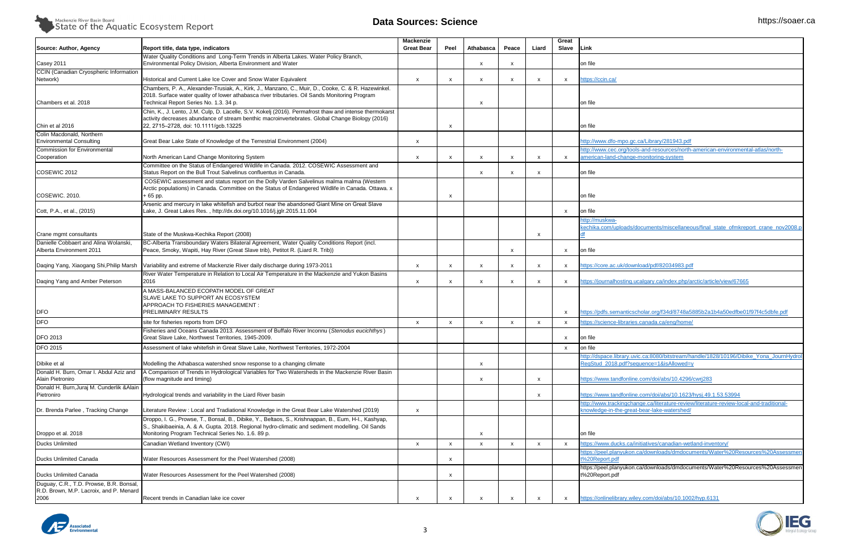

| Source: Author, Agency                                                                     | Report title, data type, indicators                                                                                                                                                                                                                            | Mackenzie<br><b>Great Bear</b> | Peel                      | Athabasca                 | Peace                     | Liard                     | Great<br><b>Slave</b> | Link                                                                                                                                                                                         |
|--------------------------------------------------------------------------------------------|----------------------------------------------------------------------------------------------------------------------------------------------------------------------------------------------------------------------------------------------------------------|--------------------------------|---------------------------|---------------------------|---------------------------|---------------------------|-----------------------|----------------------------------------------------------------------------------------------------------------------------------------------------------------------------------------------|
| Casey 2011                                                                                 | Water Quality Conditions and Long-Term Trends in Alberta Lakes. Water Policy Branch,<br>Environmental Policy Division, Alberta Environment and Water                                                                                                           |                                |                           | X                         | X                         |                           |                       | on file                                                                                                                                                                                      |
| <b>CCIN</b> (Canadian Cryospheric Information<br>Network)                                  | Historical and Current Lake Ice Cover and Snow Water Equivalent                                                                                                                                                                                                | $\mathsf{x}$                   | $\mathbf{x}$              |                           | X                         | $\mathsf{x}$              | $\mathsf{x}$          | https://ccin.ca/                                                                                                                                                                             |
|                                                                                            | Chambers, P. A., Alexander-Trusiak, A., Kirk, J., Manzano, C., Muir, D., Cooke, C. & R. Hazewinkel.<br>2018. Surface water quality of lower athabasca river tributaries. Oil Sands Monitoring Program                                                          |                                |                           |                           |                           |                           |                       |                                                                                                                                                                                              |
| Chambers et al. 2018                                                                       | Technical Report Series No. 1.3. 34 p.<br>Chin, K., J. Lento, J.M. Culp, D. Lacelle, S.V. Kokelj (2016). Permafrost thaw and intense thermokarst                                                                                                               |                                |                           | X                         |                           |                           |                       | on file                                                                                                                                                                                      |
| Chin et al 2016                                                                            | activity decreases abundance of stream benthic macroinvertebrates. Global Change Biology (2016)<br>22, 2715-2728, doi: 10.1111/gcb.13225                                                                                                                       |                                | $\mathsf{x}$              |                           |                           |                           |                       | on file                                                                                                                                                                                      |
| Colin Macdonald, Northern<br><b>Environmental Consulting</b>                               | Great Bear Lake State of Knowledge of the Terrestrial Environment (2004)                                                                                                                                                                                       | $\boldsymbol{\mathsf{x}}$      |                           |                           |                           |                           |                       | http://www.dfo-mpo.gc.ca/Library/281943.pdf                                                                                                                                                  |
| <b>Commission for Environmental</b>                                                        |                                                                                                                                                                                                                                                                |                                |                           |                           |                           |                           |                       | ittp://www.cec.org/tools-and-resources/north-american-environmental-atlas/north-                                                                                                             |
| Cooperation                                                                                | North American Land Change Monitoring System                                                                                                                                                                                                                   | $\mathsf{x}$                   | x                         |                           | $\boldsymbol{\mathsf{x}}$ | $\boldsymbol{\mathsf{x}}$ | x                     | american-land-change-monitoring-system                                                                                                                                                       |
| COSEWIC 2012                                                                               | Committee on the Status of Endangered Wildlife in Canada. 2012. COSEWIC Assessment and<br>Status Report on the Bull Trout Salvelinus confluentus in Canada.                                                                                                    |                                |                           |                           | $\boldsymbol{\mathsf{x}}$ | $\boldsymbol{\mathsf{x}}$ |                       | on file                                                                                                                                                                                      |
| <b>COSEWIC. 2010.</b>                                                                      | COSEWIC assessment and status report on the Dolly Varden Salvelinus malma malma (Western<br>Arctic populations) in Canada. Committee on the Status of Endangered Wildlife in Canada. Ottawa. x<br>$+65$ pp.                                                    |                                | X                         |                           |                           |                           |                       | on file                                                                                                                                                                                      |
| Cott, P.A., et al., (2015)                                                                 | Arsenic and mercury in lake whitefish and burbot near the abandoned Giant Mine on Great Slave<br>Lake, J. Great Lakes Res., http://dx.doi.org/10.1016/j.jglr.2015.11.004                                                                                       |                                |                           |                           |                           |                           | $\mathsf{x}$          | on file                                                                                                                                                                                      |
|                                                                                            |                                                                                                                                                                                                                                                                |                                |                           |                           |                           |                           |                       | ttp://muskwa-                                                                                                                                                                                |
| Crane mgmt consultants                                                                     | State of the Muskwa-Kechika Report (2008)                                                                                                                                                                                                                      |                                |                           |                           |                           | X                         |                       | echika.com/uploads/documents/miscellaneous/final_state_ofmkreport_crane_nov2                                                                                                                 |
| Danielle Cobbaert and Alina Wolanski,<br>Alberta Environment 2011                          | BC-Alberta Transboundary Waters Bilateral Agreement, Water Quality Conditions Report (incl.<br>Peace, Smoky, Wapiti, Hay River (Great Slave trib), Petitot R. (Liard R. Trib))                                                                                 |                                |                           |                           | $\boldsymbol{\mathsf{x}}$ |                           | $\mathsf{x}$          | on file                                                                                                                                                                                      |
| Daqing Yang, Xiaogang Shi, Philip Marsh                                                    | Variability and extreme of Mackenzie River daily discharge during 1973-2011                                                                                                                                                                                    | $\boldsymbol{\mathsf{x}}$      |                           |                           | X                         | X                         | x                     | https://core.ac.uk/download/pdf/82034983.pdf                                                                                                                                                 |
| Daqing Yang and Amber Peterson                                                             | River Water Temperature in Relation to Local Air Temperature in the Mackenzie and Yukon Basins<br>2016                                                                                                                                                         | $\boldsymbol{\mathsf{x}}$      | $\boldsymbol{\mathsf{x}}$ |                           | $\boldsymbol{\mathsf{x}}$ | $\mathsf{x}$              |                       | https://journalhosting.ucalgary.ca/index.php/arctic/article/view/67665                                                                                                                       |
| <b>DFO</b>                                                                                 | A MASS-BALANCED ECOPATH MODEL OF GREAT<br>SLAVE LAKE TO SUPPORT AN ECOSYSTEM<br>APPROACH TO FISHERIES MANAGEMENT :<br>PRELIMINARY RESULTS                                                                                                                      |                                |                           |                           |                           |                           | $\mathsf{x}$          | https://pdfs.semanticscholar.org/f34d/8748a5885b2a1b4a50edfbe01f97f4c5dbfe.pdf                                                                                                               |
| <b>DFO</b>                                                                                 | site for fisheries reports from DFO                                                                                                                                                                                                                            | $\boldsymbol{\mathsf{x}}$      | $\mathsf{x}$              | $\boldsymbol{\mathsf{x}}$ | X                         | $\boldsymbol{\mathsf{x}}$ | x                     | https://science-libraries.canada.ca/eng/home/                                                                                                                                                |
| DFO 2013                                                                                   | Fisheries and Oceans Canada 2013. Assessment of Buffalo River Inconnu (Stenodus eucichthys)<br>Great Slave Lake, Northwest Territories, 1945-2009.                                                                                                             |                                |                           |                           |                           |                           | $\mathsf{x}$          | on file                                                                                                                                                                                      |
| <b>DFO 2015</b>                                                                            | Assessment of lake whitefish in Great Slave Lake, Northwest Territories, 1972-2004                                                                                                                                                                             |                                |                           |                           |                           |                           | $\mathsf{x}$          | on file                                                                                                                                                                                      |
| Dibike et al                                                                               | Modelling the Athabasca watershed snow response to a changing climate                                                                                                                                                                                          |                                |                           | X                         |                           |                           |                       | http://dspace.library.uvic.ca:8080/bitstream/handle/1828/10196/Dibike_Yona_Journl<br>RegStud_2018.pdf?sequence=1&isAllowed=y                                                                 |
| Donald H. Burn, Omar I. Abdul Aziz and<br>Alain Pietroniro                                 | A Comparison of Trends in Hydrological Variables for Two Watersheds in the Mackenzie River Basin<br>(flow magnitude and timing)                                                                                                                                |                                |                           | х                         |                           | $\boldsymbol{\mathsf{x}}$ |                       | https://www.tandfonline.com/doi/abs/10.4296/cwrj283                                                                                                                                          |
| Donald H. Burn, Juraj M. Cunderlik & Alain<br>Pietroniro                                   | Hydrological trends and variability in the Liard River basin                                                                                                                                                                                                   |                                |                           |                           |                           | $\boldsymbol{\mathsf{x}}$ |                       | https://www.tandfonline.com/doi/abs/10.1623/hysj.49.1.53.53994                                                                                                                               |
| Dr. Brenda Parlee, Tracking Change                                                         | Literature Review: Local and Tradiational Knowledge in the Great Bear Lake Watershed (2019)                                                                                                                                                                    | $\boldsymbol{\mathsf{x}}$      |                           |                           |                           |                           |                       | ttp://www.trackingchange.ca/literature-review/literature-review-local-and-traditional-<br><mowledge-in-the-great-bear-lake-watershed <="" td=""></mowledge-in-the-great-bear-lake-watershed> |
|                                                                                            | Droppo, I. G., Prowse, T., Bonsal, B., Dibike, Y., Beltaos, S., Krishnappan, B., Eum, H-I., Kashyap,<br>S., Shakibaeinia, A. & A. Gupta. 2018. Regional hydro-climatic and sediment modelling. Oil Sands<br>Monitoring Program Technical Series No. 1.6. 89 p. |                                |                           |                           |                           |                           |                       |                                                                                                                                                                                              |
| Droppo et al. 2018<br><b>Ducks Unlimited</b>                                               |                                                                                                                                                                                                                                                                |                                |                           | $\boldsymbol{\mathsf{x}}$ |                           |                           |                       | on file                                                                                                                                                                                      |
| Ducks Unlimited Canada                                                                     | Canadian Wetland Inventory (CWI)                                                                                                                                                                                                                               | $\boldsymbol{\mathsf{x}}$      | $\boldsymbol{\mathsf{x}}$ | X                         | $\boldsymbol{\mathsf{x}}$ | $\boldsymbol{\mathsf{x}}$ | X                     | https://www.ducks.ca/initiatives/canadian-wetland-inventory/<br>ttps://peel.planyukon.ca/downloads/dmdocuments/Water%20Resources%20Asses                                                     |
|                                                                                            | Water Resources Assessment for the Peel Watershed (2008)                                                                                                                                                                                                       |                                | $\boldsymbol{\mathsf{x}}$ |                           |                           |                           |                       | t%20Report.pdf<br>https://peel.planyukon.ca/downloads/dmdocuments/Water%20Resources%20Asses                                                                                                  |
| Ducks Unlimited Canada                                                                     | Water Resources Assessment for the Peel Watershed (2008)                                                                                                                                                                                                       |                                | X                         |                           |                           |                           |                       | t%20Report.pdf                                                                                                                                                                               |
| Duguay, C.R., T.D. Prowse, B.R. Bonsal,<br>R.D. Brown, M.P. Lacroix, and P. Menard<br>2006 | Recent trends in Canadian lake ice cover                                                                                                                                                                                                                       | x                              |                           | X                         |                           | $\mathsf{x}$              |                       | https://onlinelibrary.wiley.com/doi/abs/10.1002/hyp.6131                                                                                                                                     |
|                                                                                            |                                                                                                                                                                                                                                                                |                                |                           |                           |                           |                           |                       |                                                                                                                                                                                              |



| Link                                                                                                                                         |
|----------------------------------------------------------------------------------------------------------------------------------------------|
| on file                                                                                                                                      |
| https://ccin.ca/                                                                                                                             |
|                                                                                                                                              |
| on file                                                                                                                                      |
| on file                                                                                                                                      |
| http://www.dfo-mpo.gc.ca/Library/281943.pdf                                                                                                  |
| http://www.cec.org/tools-and-resources/north-american-environmental-atlas/north-<br>american-land-change-monitoring-system                   |
| on file                                                                                                                                      |
|                                                                                                                                              |
| on file                                                                                                                                      |
| on file                                                                                                                                      |
| http://muskwa-<br>kechika.com/uploads/documents/miscellaneous/final_state_ofmkreport_crane_nov2008.p<br><u>df</u>                            |
| on file                                                                                                                                      |
| https://core.ac.uk/download/pdf/82034983.pdf                                                                                                 |
| https://journalhosting.ucalgary.ca/index.php/arctic/article/view/67665                                                                       |
|                                                                                                                                              |
| https://pdfs.semanticscholar.org/f34d/8748a5885b2a1b4a50edfbe01f97f4c5dbfe.pdf                                                               |
| https://science-libraries.canada.ca/eng/home/                                                                                                |
| on file                                                                                                                                      |
| on file<br>http://dspace.library.uvic.ca:8080/bitstream/handle/1828/10196/Dibike_Yona_JournHydrol<br>RegStud 2018.pdf?sequence=1&isAllowed=y |
| https://www.tandfonline.com/doi/abs/10.4296/cwrj283                                                                                          |
| https://www.tandfonline.com/doi/abs/10.1623/hysj.49.1.53.53994                                                                               |
| http://www.trackingchange.ca/literature-review/literature-review-local-and-traditional-<br>knowledge-in-the-great-bear-lake-watershed/       |
|                                                                                                                                              |
| on file                                                                                                                                      |
| https://www.ducks.ca/initiatives/canadian-wetland-inventory/                                                                                 |
| https://peel.planyukon.ca/downloads/dmdocuments/Water%20Resources%20Assessmen<br>t%20Report.pdf                                              |
| https://peel.planyukon.ca/downloads/dmdocuments/Water%20Resources%20Assessmen<br>t%20Report.pdf                                              |
| https://onlinglibrary.wiley.com/doi/abs/10.1002/byp.6131                                                                                     |

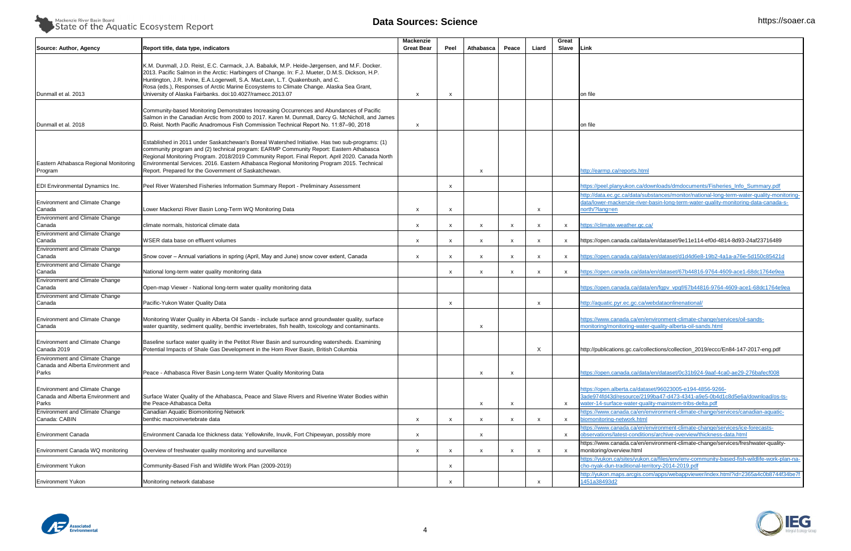

| Link                                                                                                                                                                            |
|---------------------------------------------------------------------------------------------------------------------------------------------------------------------------------|
|                                                                                                                                                                                 |
|                                                                                                                                                                                 |
|                                                                                                                                                                                 |
| on file                                                                                                                                                                         |
|                                                                                                                                                                                 |
|                                                                                                                                                                                 |
|                                                                                                                                                                                 |
| on file                                                                                                                                                                         |
|                                                                                                                                                                                 |
|                                                                                                                                                                                 |
|                                                                                                                                                                                 |
| http://earmp.ca/reports.html                                                                                                                                                    |
|                                                                                                                                                                                 |
| https://peel.planyukon.ca/downloads/dmdocuments/Fisheries_Info_Summary.pdf                                                                                                      |
| http://data.ec.gc.ca/data/substances/monitor/national-long-term-water-quality-monitoring-<br>data/lower-mackenzie-river-basin-long-term-water-quality-monitoring-data-canada-s- |
| north/?lang=en                                                                                                                                                                  |
| https://climate.weather.gc.ca/                                                                                                                                                  |
|                                                                                                                                                                                 |
| https://open.canada.ca/data/en/dataset/9e11e114-ef0d-4814-8d93-24af23716489                                                                                                     |
| https://open.canada.ca/data/en/dataset/d1d4d6e8-19b2-4a1a-a76e-5d150c85421d                                                                                                     |
| https://open.canada.ca/data/en/dataset/67b44816-9764-4609-ace1-68dc1764e9ea                                                                                                     |
| https://open.canada.ca/data/en/fgpv_vpgf/67b44816-9764-4609-ace1-68dc1764e9ea                                                                                                   |
|                                                                                                                                                                                 |
| http://aquatic.pyr.ec.gc.ca/webdataonlinenational/                                                                                                                              |
| https://www.canada.ca/en/environment-climate-change/services/oil-sands-                                                                                                         |
| monitoring/monitoring-water-quality-alberta-oil-sands.html                                                                                                                      |
|                                                                                                                                                                                 |
| http://publications.gc.ca/collections/collection_2019/eccc/En84-147-2017-eng.pdf                                                                                                |
|                                                                                                                                                                                 |
|                                                                                                                                                                                 |
| https://open.canada.ca/data/en/dataset/0c31b924-9aaf-4ca0-ae29-276bafecf008                                                                                                     |
| https://open.alberta.ca/dataset/96023005-e194-4856-9266-                                                                                                                        |
| 3ade974fd43d/resource/2199ba47-d473-4341-a9e5-0b4d1c8d5e6a/download/os-ts-                                                                                                      |
| water-14-surface-water-quality-mainstem-tribs-delta.pdf                                                                                                                         |
| https://www.canada.ca/en/environment-climate-change/services/canadian-aquatic-<br>biomonitoring-network.html                                                                    |
| https://www.canada.ca/en/environment-climate-change/services/ice-forecasts-                                                                                                     |
| observations/latest-conditions/archive-overview/thickness-data.html                                                                                                             |
| https://www.canada.ca/en/environment-climate-change/services/freshwater-quality-                                                                                                |
| monitoring/overview.html                                                                                                                                                        |
| https://yukon.ca/sites/yukon.ca/files/env/env-community-based-fish-wildlife-work-plan-na-                                                                                       |
| cho-nyak-dun-traditional-territory-2014-2019.pdf                                                                                                                                |
| http://yukon.maps.arcgis.com/apps/webappviewer/index.html?id=2365a4c0b8744f34be7f<br>1451938403d2                                                                               |



| Source: Author, Agency                                                               | Report title, data type, indicators                                                                                                                                                                                                                                                                                                                                                                                                                 | Mackenzie<br><b>Great Bear</b> | Peel                      | Athabasca                 | Peace                     | Liard                     | Great<br>Slave Link       |                                                                                                                                                                                                   |
|--------------------------------------------------------------------------------------|-----------------------------------------------------------------------------------------------------------------------------------------------------------------------------------------------------------------------------------------------------------------------------------------------------------------------------------------------------------------------------------------------------------------------------------------------------|--------------------------------|---------------------------|---------------------------|---------------------------|---------------------------|---------------------------|---------------------------------------------------------------------------------------------------------------------------------------------------------------------------------------------------|
| Dunmall et al. 2013                                                                  | K.M. Dunmall, J.D. Reist, E.C. Carmack, J.A. Babaluk, M.P. Heide-Jørgensen, and M.F. Docker.<br>2013. Pacific Salmon in the Arctic: Harbingers of Change. In: F.J. Mueter, D.M.S. Dickson, H.P.<br>Huntington, J.R. Irvine, E.A.Logerwell, S.A. MacLean, L.T. Quakenbush, and C.<br>Rosa (eds.), Responses of Arctic Marine Ecosystems to Climate Change. Alaska Sea Grant,<br>University of Alaska Fairbanks. doi:10.4027/ramecc.2013.07           | X                              | $\boldsymbol{\mathsf{x}}$ |                           |                           |                           |                           | on file                                                                                                                                                                                           |
| Dunmall et al. 2018                                                                  | Community-based Monitoring Demonstrates Increasing Occurrences and Abundances of Pacific<br>Salmon in the Canadian Arctic from 2000 to 2017. Karen M. Dunmall, Darcy G. McNicholl, and James<br>D. Reist. North Pacific Anadromous Fish Commission Technical Report No. 11:87-90, 2018                                                                                                                                                              | X                              |                           |                           |                           |                           |                           | on file                                                                                                                                                                                           |
| Eastern Athabasca Regional Monitoring<br>Program                                     | Established in 2011 under Saskatchewan's Boreal Watershed Initiative. Has two sub-programs: (1)<br>community program and (2) technical program: EARMP Community Report: Eastern Athabasca<br>Regional Monitoring Program. 2018/2019 Community Report. Final Report. April 2020. Canada North<br>Environmental Services. 2016. Eastern Athabasca Regional Monitoring Program 2015. Technical<br>Report. Prepared for the Government of Saskatchewan. |                                |                           | x                         |                           |                           |                           | http://earmp.ca/reports.html                                                                                                                                                                      |
| <b>EDI Environmental Dynamics Inc.</b>                                               | Peel River Watershed Fisheries Information Summary Report - Preliminary Assessment                                                                                                                                                                                                                                                                                                                                                                  |                                | X                         |                           |                           |                           |                           | https://peel.planyukon.ca/downloads/dmdocuments/Fisheries Info Summary.pdf                                                                                                                        |
| <b>Environment and Climate Change</b><br>Canada                                      | Lower Mackenzi River Basin Long-Term WQ Monitoring Data                                                                                                                                                                                                                                                                                                                                                                                             | x                              | X                         |                           |                           | x                         |                           | http://data.ec.gc.ca/data/substances/monitor/national-long-term-water-quality-monitory<br>lata/lower-mackenzie-river-basin-long-term-water-quality-monitoring-data-canada-s-<br>north/?lang=en    |
| <b>Environment and Climate Change</b><br>Canada                                      | climate normals, historical climate data                                                                                                                                                                                                                                                                                                                                                                                                            | X                              | X                         | X                         | $\mathsf{x}$              | X                         | $\boldsymbol{\mathsf{x}}$ | https://climate.weather.gc.ca/                                                                                                                                                                    |
| <b>Environment and Climate Change</b><br>Canada                                      | WSER data base on effluent volumes                                                                                                                                                                                                                                                                                                                                                                                                                  | x                              | X                         | $\boldsymbol{\mathsf{x}}$ | $\boldsymbol{\mathsf{x}}$ | $\boldsymbol{\mathsf{x}}$ |                           | https://open.canada.ca/data/en/dataset/9e11e114-ef0d-4814-8d93-24af23716489                                                                                                                       |
| <b>Environment and Climate Change</b><br>Canada                                      | Snow cover – Annual variations in spring (April, May and June) snow cover extent, Canada                                                                                                                                                                                                                                                                                                                                                            | X                              | $\boldsymbol{\mathsf{x}}$ | X                         | $\boldsymbol{\mathsf{x}}$ | X                         | $\boldsymbol{\mathsf{x}}$ | https://open.canada.ca/data/en/dataset/d1d4d6e8-19b2-4a1a-a76e-5d150c85421d                                                                                                                       |
| <b>Environment and Climate Change</b><br>Canada                                      | National long-term water quality monitoring data                                                                                                                                                                                                                                                                                                                                                                                                    |                                | $\boldsymbol{\mathsf{x}}$ |                           | $\boldsymbol{\mathsf{x}}$ | x                         |                           | https://open.canada.ca/data/en/dataset/67b44816-9764-4609-ace1-68dc1764e9ea                                                                                                                       |
| <b>Environment and Climate Change</b><br>Canada                                      | Open-map Viewer - National long-term water quality monitoring data                                                                                                                                                                                                                                                                                                                                                                                  |                                |                           |                           |                           |                           |                           | https://open.canada.ca/data/en/fgpv_vpgf/67b44816-9764-4609-ace1-68dc1764e9ea                                                                                                                     |
| <b>Environment and Climate Change</b><br>Canada                                      | Pacific-Yukon Water Quality Data                                                                                                                                                                                                                                                                                                                                                                                                                    |                                | $\boldsymbol{\mathsf{x}}$ |                           |                           | X                         |                           | http://aquatic.pyr.ec.gc.ca/webdataonlinenational/                                                                                                                                                |
| <b>Environment and Climate Change</b><br>Canada                                      | Monitoring Water Quality in Alberta Oil Sands - include surface annd groundwater quality, surface<br>water quantity, sediment quality, benthic invertebrates, fish health, toxicology and contaminants.                                                                                                                                                                                                                                             |                                |                           | X                         |                           |                           |                           | -ttps://www.canada.ca/en/environment-climate-change/services/oil-sands<br>monitoring/monitoring-water-quality-alberta-oil-sands.html                                                              |
| <b>Environment and Climate Change</b><br>Canada 2019                                 | Baseline surface water quality in the Petitot River Basin and surrounding watersheds. Examining<br>Potential Impacts of Shale Gas Development in the Horn River Basin, British Columbia                                                                                                                                                                                                                                                             |                                |                           |                           |                           |                           |                           | http://publications.gc.ca/collections/collection_2019/eccc/En84-147-2017-eng.pdf                                                                                                                  |
| <b>Environment and Climate Change</b><br>Canada and Alberta Environment and<br>Parks | Peace - Athabasca River Basin Long-term Water Quality Monitoring Data                                                                                                                                                                                                                                                                                                                                                                               |                                |                           | х                         | $\boldsymbol{\mathsf{x}}$ |                           |                           | ttps://open.canada.ca/data/en/dataset/0c31b924-9aaf-4ca0-ae29-276bafecf008                                                                                                                        |
| <b>Environment and Climate Change</b><br>Canada and Alberta Environment and<br>Parks | Surface Water Quality of the Athabasca, Peace and Slave Rivers and Riverine Water Bodies within<br>the Peace-Athabasca Delta                                                                                                                                                                                                                                                                                                                        |                                |                           | X                         | $\boldsymbol{\mathsf{x}}$ |                           | $\boldsymbol{\mathsf{x}}$ | https://open.alberta.ca/dataset/96023005-e194-4856-9266-<br>3ade974fd43d/resource/2199ba47-d473-4341-a9e5-0b4d1c8d5e6a/download/os-ts-<br>water-14-surface-water-quality-mainstem-tribs-delta.pdf |
| <b>Environment and Climate Change</b><br>Canada: CABIN                               | Canadian Aquatic Biomonitoring Network<br>benthic macroinvertebrate data                                                                                                                                                                                                                                                                                                                                                                            | X                              | X                         | X                         | $\boldsymbol{\mathsf{x}}$ | X                         | $\boldsymbol{\mathsf{x}}$ | https://www.canada.ca/en/environment-climate-change/services/canadian-aquatic-<br>biomonitoring-network.html                                                                                      |
| <b>Environment Canada</b>                                                            | Environment Canada Ice thickness data: Yellowknife, Inuvik, Fort Chipewyan, possibly more                                                                                                                                                                                                                                                                                                                                                           | X                              |                           | X                         |                           |                           | X                         | https://www.canada.ca/en/environment-climate-change/services/ice-forecasts-<br>observations/latest-conditions/archive-overview/thickness-data.html                                                |
| Environment Canada WQ monitoring                                                     | Overview of freshwater quality monitoring and surveillance                                                                                                                                                                                                                                                                                                                                                                                          | X                              | X                         | X                         | $\mathsf{x}$              | $\boldsymbol{\mathsf{x}}$ | x                         | https://www.canada.ca/en/environment-climate-change/services/freshwater-quality-<br>monitoring/overview.html                                                                                      |
| <b>Environment Yukon</b>                                                             | Community-Based Fish and Wildlife Work Plan (2009-2019)                                                                                                                                                                                                                                                                                                                                                                                             |                                | X                         |                           |                           |                           |                           | https://yukon.ca/sites/yukon.ca/files/env/env-community-based-fish-wildlife-work-plar<br>cho-nyak-dun-traditional-territory-2014-2019.pdf                                                         |
| <b>Environment Yukon</b>                                                             | Monitoring network database                                                                                                                                                                                                                                                                                                                                                                                                                         |                                | X                         |                           |                           | x                         |                           | http://yukon.maps.arcgis.com/apps/webappviewer/index.html?id=2365a4c0b8744f34<br>1451a38493d2                                                                                                     |
|                                                                                      |                                                                                                                                                                                                                                                                                                                                                                                                                                                     |                                |                           |                           |                           |                           |                           |                                                                                                                                                                                                   |

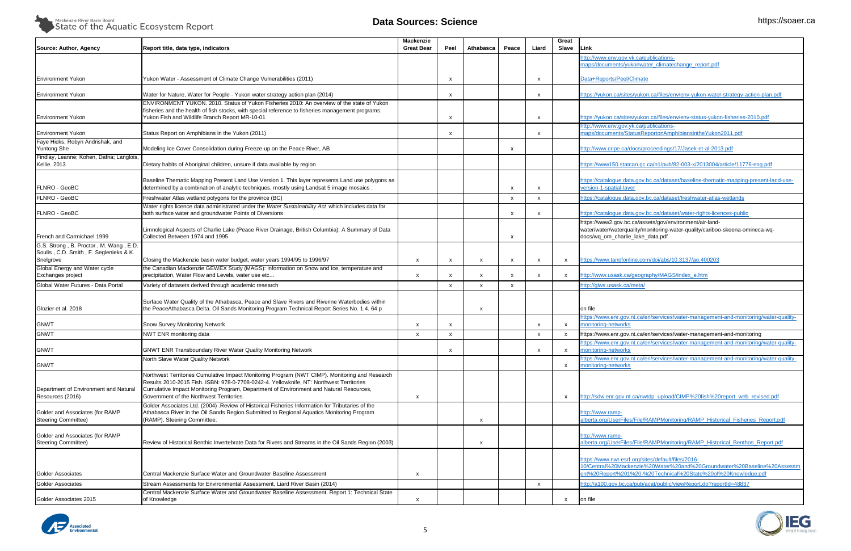

# $\blacktriangleright$  State of the Aquatic Ecosystem Report

| Link                                                                                                                                                                                           |
|------------------------------------------------------------------------------------------------------------------------------------------------------------------------------------------------|
| http://www.env.gov.yk.ca/publications-<br>maps/documents/yukonwater_climatechange_report.pdf                                                                                                   |
| Data+Reports/Peel/Climate                                                                                                                                                                      |
| https://yukon.ca/sites/yukon.ca/files/env/env-yukon-water-strategy-action-plan.pdf                                                                                                             |
| https://yukon.ca/sites/yukon.ca/files/env/env-status-yukon-fisheries-2010.pdf                                                                                                                  |
| http://www.env.gov.yk.ca/publications-<br>maps/documents/StatusReportonAmphibiansintheYukon2011.pdf                                                                                            |
| http://www.cripe.ca/docs/proceedings/17/Jasek-et-al-2013.pdf                                                                                                                                   |
| https://www150.statcan.gc.ca/n1/pub/82-003-x/2013004/article/11776-eng.pdf                                                                                                                     |
| https://catalogue.data.gov.bc.ca/dataset/baseline-thematic-mapping-present-land-use-<br>version-1-spatial-layer                                                                                |
| https://catalogue.data.gov.bc.ca/dataset/freshwater-atlas-wetlands                                                                                                                             |
| https://catalogue.data.gov.bc.ca/dataset/water-rights-licences-public                                                                                                                          |
| https://www2.gov.bc.ca/assets/gov/environment/air-land-<br>water/water/waterquality/monitoring-water-quality/cariboo-skeena-omineca-wq-<br>docs/wq_om_charlie_lake_data.pdf                    |
| https://www.tandfonline.com/doi/abs/10.3137/ao.400203                                                                                                                                          |
| http://www.usask.ca/geography/MAGS/index_e.htm                                                                                                                                                 |
| http://giws.usask.ca/meta/                                                                                                                                                                     |
| on file                                                                                                                                                                                        |
| https://www.enr.gov.nt.ca/en/services/water-management-and-monitoring/water-quality-<br>monitoring-networks                                                                                    |
| https://www.enr.gov.nt.ca/en/services/water-management-and-monitoring                                                                                                                          |
| https://www.enr.gov.nt.ca/en/services/water-management-and-monitoring/water-quality-<br>monitoring-networks                                                                                    |
| https://www.enr.gov.nt.ca/en/services/water-management-and-monitoring/water-quality-<br>monitoring-networks                                                                                    |
|                                                                                                                                                                                                |
| http://sdw.enr.gov.nt.ca/nwtdp_upload/CIMP%20fish%20report_web_revised.pdf                                                                                                                     |
| http://www.ramp-<br>alberta.org/UserFiles/File/RAMPMonitoring/RAMP_Historical_Fisheries_Report.pdf                                                                                             |
| http://www.ramp-<br>alberta.org/UserFiles/File/RAMPMonitoring/RAMP_Historical_Benthos_Report.pdf                                                                                               |
| https://www.nwt-esrf.org/sites/default/files/2016-<br>10/Central%20Mackenzie%20Water%20and%20Groundwater%20Baseline%20Assessm<br>ent%20Report%201%20-%20Technical%20State%20of%20Knowledge.pdf |
| http://a100.gov.bc.ca/pub/acat/public/viewReport.do?reportId=48837                                                                                                                             |
| on file                                                                                                                                                                                        |



| Source: Author, Agency                                                                        | Report title, data type, indicators                                                                                                                                                                                                                                                                                             | Mackenzie<br><b>Great Bear</b> | Peel                      | Athabasca    | Peace                     | Liard                     | Great<br>Slave            | Link                                                                                                                                                                                     |
|-----------------------------------------------------------------------------------------------|---------------------------------------------------------------------------------------------------------------------------------------------------------------------------------------------------------------------------------------------------------------------------------------------------------------------------------|--------------------------------|---------------------------|--------------|---------------------------|---------------------------|---------------------------|------------------------------------------------------------------------------------------------------------------------------------------------------------------------------------------|
|                                                                                               |                                                                                                                                                                                                                                                                                                                                 |                                |                           |              |                           |                           |                           | ttp://www.env.gov.yk.ca/publications-<br>maps/documents/yukonwater_climatechange_report.pdf                                                                                              |
| <b>Environment Yukon</b>                                                                      | Yukon Water - Assessment of Climate Change Vulnerabilities (2011)                                                                                                                                                                                                                                                               |                                | $\boldsymbol{\mathsf{x}}$ |              |                           | $\boldsymbol{\mathsf{x}}$ |                           | Data+Reports/Peel/Climate                                                                                                                                                                |
| <b>Environment Yukon</b>                                                                      | Water for Nature, Water for People - Yukon water strategy action plan (2014)                                                                                                                                                                                                                                                    |                                |                           |              |                           | $\boldsymbol{\mathsf{x}}$ |                           | nttps://yukon.ca/sites/yukon.ca/files/env/env-yukon-water-strategy-action-plan.pdf                                                                                                       |
| <b>Environment Yukon</b>                                                                      | ENVIRONMENT YUKON. 2010. Status of Yukon Fisheries 2010: An overview of the state of Yukon<br>fisheries and the health of fish stocks, with special reference to fisheries management programs.<br>Yukon Fish and Wildlife Branch Report MR-10-01                                                                               |                                | x                         |              |                           | X                         |                           | https://yukon.ca/sites/yukon.ca/files/env/env-status-yukon-fisheries-2010.pdf                                                                                                            |
| <b>Environment Yukon</b>                                                                      | Status Report on Amphibians in the Yukon (2011)                                                                                                                                                                                                                                                                                 |                                | X                         |              |                           | $\boldsymbol{\mathsf{x}}$ |                           | ttp://www.env.gov.yk.ca/publications-<br>maps/documents/StatusReportonAmphibiansintheYukon2011.pdf                                                                                       |
| Faye Hicks, Robyn Andrishak, and<br><b>Yuntong She</b>                                        | Modeling Ice Cover Consolidation during Freeze-up on the Peace River, AB                                                                                                                                                                                                                                                        |                                |                           |              |                           |                           |                           | http://www.cripe.ca/docs/proceedings/17/Jasek-et-al-2013.pdf                                                                                                                             |
| Findlay, Leanne; Kohen, Dafna; Langlois,<br><b>Kellie. 2013</b>                               | Dietary habits of Aboriginal children, unsure if data available by region                                                                                                                                                                                                                                                       |                                |                           |              |                           |                           |                           | https://www150.statcan.gc.ca/n1/pub/82-003-x/2013004/article/11776-eng.pdf                                                                                                               |
| FLNRO - GeoBC                                                                                 | Baseline Thematic Mapping Present Land Use Version 1. This layer represents Land use polygons as<br>determined by a combination of analytic techniques, mostly using Landsat 5 image mosaics.                                                                                                                                   |                                |                           |              |                           | $\boldsymbol{\mathsf{x}}$ |                           | https://catalogue.data.gov.bc.ca/dataset/baseline-thematic-mapping-present-land<br>version-1-spatial-layer                                                                               |
| FLNRO - GeoBC                                                                                 | Freshwater Atlas wetland polygons for the province (BC)                                                                                                                                                                                                                                                                         |                                |                           |              |                           | X                         |                           | https://catalogue.data.gov.bc.ca/dataset/freshwater-atlas-wetlands                                                                                                                       |
| FLNRO - GeoBC                                                                                 | Water rights licence data administrated under the Water Sustainability Act which includes data for<br>both surface water and groundwater Points of Diversions                                                                                                                                                                   |                                |                           |              |                           |                           |                           | https://catalogue.data.gov.bc.ca/dataset/water-rights-licences-public                                                                                                                    |
| French and Carmichael 1999                                                                    | Limnological Aspects of Charlie Lake (Peace River Drainage, British Columbia): A Summary of Data<br>Collected Between 1974 and 1995                                                                                                                                                                                             |                                |                           |              | X                         |                           |                           | https://www2.gov.bc.ca/assets/gov/environment/air-land-<br>water/water/waterquality/monitoring-water-quality/cariboo-skeena-omineca-wq-<br>docs/wq_om_charlie_lake_data.pdf              |
| G.S. Strong, B. Proctor, M. Wang, E.D.<br>Soulis, C.D. Smith, F. Seglenieks & K.<br>Snelgrove | Closing the Mackenzie basin water budget, water years 1994/95 to 1996/97                                                                                                                                                                                                                                                        | X                              | X                         | $\mathsf{x}$ | $\boldsymbol{\mathsf{x}}$ | X                         | $\mathsf{x}$              | https://www.tandfonline.com/doi/abs/10.3137/ao.400203                                                                                                                                    |
| Global Energy and Water cycle<br>Exchanges project                                            | the Canadian Mackenzie GEWEX Study (MAGS): information on Snow and Ice, temperature and<br>precipitation, Water Flow and Levels, water use etc                                                                                                                                                                                  | X                              | X                         | $\mathbf{x}$ | $\boldsymbol{\mathsf{x}}$ | $\mathsf{x}$              | $\mathsf{x}$              | http://www.usask.ca/geography/MAGS/index_e.htm                                                                                                                                           |
| Global Water Futures - Data Portal                                                            | Variety of datasets derived through academic research                                                                                                                                                                                                                                                                           |                                | X                         |              | X                         |                           |                           | /ttp://giws.usask.ca/meta                                                                                                                                                                |
| Glozier et al. 2018                                                                           | Surface Water Quality of the Athabasca, Peace and Slave Rivers and Riverine Waterbodies within<br>the PeaceAthabasca Delta. Oil Sands Monitoring Program Technical Report Series No. 1.4. 64 p                                                                                                                                  |                                |                           |              |                           |                           |                           | on file                                                                                                                                                                                  |
| <b>GNWT</b>                                                                                   | Snow Survey Monitoring Network                                                                                                                                                                                                                                                                                                  | X                              | X                         |              |                           | $\boldsymbol{\mathsf{x}}$ | $\mathsf{x}$              | https://www.enr.gov.nt.ca/en/services/water-management-and-monitoring/water-g<br>monitoring-networks                                                                                     |
| <b>GNWT</b>                                                                                   | NWT ENR monitoring data                                                                                                                                                                                                                                                                                                         | $\mathsf{x}$                   | X                         |              |                           | $\boldsymbol{\mathsf{x}}$ | $\mathsf{x}$              | https://www.enr.gov.nt.ca/en/services/water-management-and-monitoring                                                                                                                    |
| <b>GNWT</b>                                                                                   | GNWT ENR Transboundary River Water Quality Monitoring Network                                                                                                                                                                                                                                                                   |                                |                           |              |                           |                           | $\boldsymbol{\mathsf{x}}$ | https://www.enr.gov.nt.ca/en/services/water-management-and-monitoring/water-g<br>monitoring-networks                                                                                     |
| <b>GNWT</b>                                                                                   | North Slave Water Quality Network                                                                                                                                                                                                                                                                                               |                                |                           |              |                           |                           | $\mathsf{x}$              | ittps://www.enr.gov.nt.ca/en/services/water-management-and-monitoring/water-c<br>monitoring-networks                                                                                     |
| Department of Environment and Natural<br>Resources (2016)                                     | Northwest Territories Cumulative Impact Monitoring Program (NWT CIMP). Monitoring and Research<br>Results 2010-2015 Fish. ISBN: 978-0-7708-0242-4. Yellowknife. NT: Northwest Territories<br>Cumulative Impact Monitoring Program, Department of Environment and Natural Resources,<br>Government of the Northwest Territories. | X                              |                           |              |                           |                           | $\boldsymbol{\mathsf{x}}$ | http://sdw.enr.gov.nt.ca/nwtdp_upload/CIMP%20fish%20report_web_revised.pdf                                                                                                               |
| Golder and Associates (for RAMP<br><b>Steering Committee)</b>                                 | Golder Associates Ltd. (2004) .Review of Historical Fisheries Information for Tributaries of the<br>Athabasca River in the Oil Sands Region. Submitted to Regional Aquatics Monitoring Program<br>(RAMP), Steering Committee.                                                                                                   |                                |                           | x            |                           |                           |                           | http://www.ramp-<br>alberta.org/UserFiles/File/RAMPMonitoring/RAMP Historical Fisheries Report.p                                                                                         |
| Golder and Associates (for RAMP<br><b>Steering Committee)</b>                                 | Review of Historical Benthic Invertebrate Data for Rivers and Streams in the Oil Sands Region (2003)                                                                                                                                                                                                                            |                                |                           |              |                           |                           |                           | http://www.ramp-<br>alberta.org/UserFiles/File/RAMPMonitoring/RAMP_Historical_Benthos_Report.pd                                                                                          |
| <b>Golder Associates</b>                                                                      | Central Mackenzie Surface Water and Groundwater Baseline Assessment                                                                                                                                                                                                                                                             | X                              |                           |              |                           |                           |                           | https://www.nwt-esrf.org/sites/default/files/2016-<br>10/Central%20Mackenzie%20Water%20and%20Groundwater%20Baseline%20A<br>ent%20Report%201%20-%20Technical%20State%20of%20Knowledge.pdf |
| <b>Golder Associates</b>                                                                      | Stream Assessments for Environmental Assessment, Liard River Basin (2014)                                                                                                                                                                                                                                                       |                                |                           |              |                           | $\boldsymbol{\mathsf{x}}$ |                           | http://a100.gov.bc.ca/pub/acat/public/viewReport.do?reportId=48837                                                                                                                       |
|                                                                                               | Central Mackenzie Surface Water and Groundwater Baseline Assessment. Report 1: Technical State                                                                                                                                                                                                                                  |                                |                           |              |                           |                           |                           |                                                                                                                                                                                          |
| Golder Associates 2015                                                                        | of Knowledge                                                                                                                                                                                                                                                                                                                    | x                              |                           |              |                           |                           | $\mathsf{x}$              | on file                                                                                                                                                                                  |

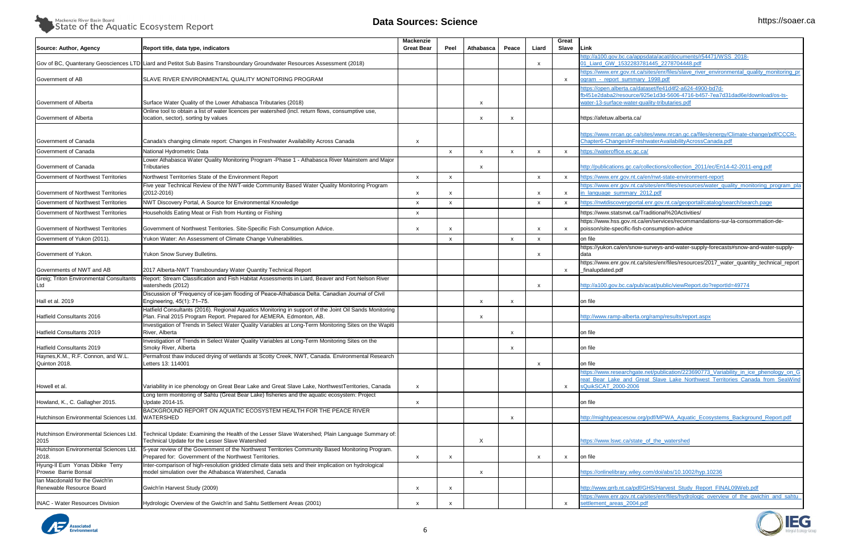

| Link                                                                                                                                                                                         |
|----------------------------------------------------------------------------------------------------------------------------------------------------------------------------------------------|
| http://a100.gov.bc.ca/appsdata/acat/documents/r54471/WSS_2018-<br>01_Liard_GW_1532283781445_2278704448.pdf                                                                                   |
| https://www.enr.gov.nt.ca/sites/enr/files/slave_river_environmental_quality_monitoring_pr<br>ogram - report summary 1998.pdf                                                                 |
| https://open.alberta.ca/dataset/fe41d4f2-a624-4900-bd7d-<br>fb451e2daba2/resource/925e1d3d-5606-4716-b457-7ea7d31dad6e/download/os-ts-<br>water-13-surface-water-quality-tributaries.pdf     |
| https://afetuw.alberta.ca/                                                                                                                                                                   |
| https://www.nrcan.gc.ca/sites/www.nrcan.gc.ca/files/energy/Climate-change/pdf/CCCR-<br>Chapter6-ChangesInFreshwaterAvailabilityAcrossCanada.pdf                                              |
| https://wateroffice.ec.gc.ca/                                                                                                                                                                |
| http://publications.gc.ca/collections/collection_2011/ec/En14-42-2011-eng.pdf                                                                                                                |
| https://www.enr.gov.nt.ca/en/nwt-state-environment-report                                                                                                                                    |
| https://www.enr.gov.nt.ca/sites/enr/files/resources/water_quality_monitoring_program_pla<br>in language summary 2012.pdf                                                                     |
| https://nwtdiscoveryportal.enr.gov.nt.ca/geoportal/catalog/search/search.page                                                                                                                |
| https://www.statsnwt.ca/Traditional%20Activities/                                                                                                                                            |
| https://www.hss.gov.nt.ca/en/services/recommandations-sur-la-consommation-de-<br>poisson/site-specific-fish-consumption-advice                                                               |
| on file                                                                                                                                                                                      |
| https://yukon.ca/en/snow-surveys-and-water-supply-forecasts#snow-and-water-supply-<br>data                                                                                                   |
| https://www.enr.gov.nt.ca/sites/enr/files/resources/2017_water_quantity_technical_report<br>_finalupdated.pdf                                                                                |
| http://a100.gov.bc.ca/pub/acat/public/viewReport.do?reportId=49774                                                                                                                           |
| on file                                                                                                                                                                                      |
| http://www.ramp-alberta.org/ramp/results/report.aspx                                                                                                                                         |
| on file                                                                                                                                                                                      |
| on file                                                                                                                                                                                      |
| on file                                                                                                                                                                                      |
| https://www.researchgate.net/publication/223690773 Variability in ice phenology on G<br>reat Bear Lake and Great Slave Lake Northwest Territories Canada from SeaWind<br>sQuikSCAT_2000-2006 |
| on file                                                                                                                                                                                      |
| http://mightypeacesow.org/pdf/MPWA_Aquatic_Ecosystems_Background_Report.pdf                                                                                                                  |
| https://www.lswc.ca/state_of_the_watershed                                                                                                                                                   |
| on file                                                                                                                                                                                      |
| https://onlinelibrary.wiley.com/doi/abs/10.1002/hyp.10236                                                                                                                                    |
| http://www.grrb.nt.ca/pdf/GHS/Harvest_Study_Report_FINAL09Web.pdf                                                                                                                            |
| https://www.enr.gov.nt.ca/sites/enr/files/hydrologic overview of the gwichin and sahtu<br>settlement_areas_2004.pdf                                                                          |



| Source: Author, Agency                                     | Report title, data type, indicators                                                                                                                                           | Mackenzie<br><b>Great Bear</b> | Peel                      | Athabasca                 | Peace                     | Liard                     | Great<br>Slave            | Link                                                                                                                                                             |
|------------------------------------------------------------|-------------------------------------------------------------------------------------------------------------------------------------------------------------------------------|--------------------------------|---------------------------|---------------------------|---------------------------|---------------------------|---------------------------|------------------------------------------------------------------------------------------------------------------------------------------------------------------|
|                                                            | Gov of BC, Quanterany Geosciences LTD Liard and Petitot Sub Basins Transboundary Groundwater Resources Assessment (2018)                                                      |                                |                           |                           |                           |                           |                           | http://a100.gov.bc.ca/appsdata/acat/documents/r54471/WSS_2018-<br>01_Liard_GW_1532283781445_2278704448.pdf                                                       |
| Government of AB                                           | SLAVE RIVER ENVIRONMENTAL QUALITY MONITORING PROGRAM                                                                                                                          |                                |                           |                           |                           |                           | $\mathsf{x}$              | https://www.enr.gov.nt.ca/sites/enr/files/slave_river_environmental_quality_monitoring<br>ogram - report_summary_1998.pdf                                        |
|                                                            |                                                                                                                                                                               |                                |                           |                           |                           |                           |                           | https://open.alberta.ca/dataset/fe41d4f2-a624-4900-bd7d-<br>fb451e2daba2/resource/925e1d3d-5606-4716-b457-7ea7d31dad6e/download/os-ts-                           |
| Government of Alberta                                      | Surface Water Quality of the Lower Athabasca Tributaries (2018)                                                                                                               |                                |                           | X                         |                           |                           |                           | water-13-surface-water-quality-tributaries.pdf                                                                                                                   |
| Government of Alberta                                      | Online tool to obtain a list of water licences per watershed (incl. return flows, consumptive use,<br>location, sector), sorting by values                                    |                                |                           | X                         | X                         |                           |                           | https://afetuw.alberta.ca/                                                                                                                                       |
|                                                            |                                                                                                                                                                               |                                |                           |                           |                           |                           |                           |                                                                                                                                                                  |
| Government of Canada                                       | Canada's changing climate report: Changes in Freshwater Availability Across Canada                                                                                            | X                              |                           |                           |                           |                           |                           | https://www.nrcan.gc.ca/sites/www.nrcan.gc.ca/files/energy/Climate-change/pdf/CCC<br>Chapter6-ChangesInFreshwaterAvailabilityAcrossCanada.pdf                    |
| Government of Canada                                       | National Hydrometric Data                                                                                                                                                     |                                | $\mathsf{x}$              | $\mathsf{x}$              | $\boldsymbol{\mathsf{x}}$ | $\boldsymbol{\mathsf{x}}$ | $\mathsf{x}$              | https://wateroffice.ec.gc.ca/                                                                                                                                    |
| Government of Canada                                       | Lower Athabasca Water Quality Monitoring Program - Phase 1 - Athabasca River Mainstem and Major<br>Tributaries                                                                |                                |                           | $\boldsymbol{\mathsf{x}}$ |                           |                           |                           | http://publications.gc.ca/collections/collection_2011/ec/En14-42-2011-eng.pdf                                                                                    |
| Government of Northwest Territories                        | Northwest Territorries State of the Environment Report                                                                                                                        | $\boldsymbol{\mathsf{x}}$      | $\mathsf{x}$              |                           |                           | $\mathsf{x}$              | $\mathsf{x}$              | https://www.enr.gov.nt.ca/en/nwt-state-environment-report                                                                                                        |
| Government of Northwest Territories                        | Five year Technical Review of the NWT-wide Community Based Water Quality Monitoring Program<br>$(2012 - 2016)$                                                                | x                              | X                         |                           |                           |                           | $\boldsymbol{\mathsf{x}}$ | https://www.enr.gov.nt.ca/sites/enr/files/resources/water_quality_monitoring_program<br>in_language_summary_2012.pdf                                             |
| Government of Northwest Territories                        | NWT Discovery Portal, A Source for Environmental Knowledge                                                                                                                    | $\mathbf{x}$                   | $\mathbf{x}$              |                           |                           | $\mathbf{x}$              | $\mathsf{x}$              | https://nwtdiscoveryportal.enr.gov.nt.ca/geoportal/catalog/search/search.page                                                                                    |
| Government of Northwest Territories                        | Households Eating Meat or Fish from Hunting or Fishing                                                                                                                        | X                              |                           |                           |                           |                           |                           | https://www.statsnwt.ca/Traditional%20Activities/                                                                                                                |
| Government of Northwest Territories                        | Government of Northwest Territories. Site-Specific Fish Consumption Advice.                                                                                                   | X                              | $\boldsymbol{\mathsf{x}}$ |                           |                           | X                         | $\mathsf{x}$              | https://www.hss.gov.nt.ca/en/services/recommandations-sur-la-consommation-de-<br>poisson/site-specific-fish-consumption-advice                                   |
| Government of Yukon (2011)                                 | Yukon Water: An Assessment of Climate Change Vulnerabilities.                                                                                                                 |                                | $\mathbf{x}$              |                           | $\mathsf{x}$              | X                         |                           | on file                                                                                                                                                          |
| Government of Yukon.                                       | Yukon Snow Survey Bulletins.                                                                                                                                                  |                                |                           |                           |                           |                           |                           | https://yukon.ca/en/snow-surveys-and-water-supply-forecasts#snow-and-water-supply<br>data                                                                        |
| Governments of NWT and AB                                  | 2017 Alberta-NWT Transboundary Water Quantity Technical Report                                                                                                                |                                |                           |                           |                           |                           | $\mathsf{x}$              | https://www.enr.gov.nt.ca/sites/enr/files/resources/2017_water_quantity_technical_rep<br>_finalupdated.pdf                                                       |
| Greig; Triton Environmental Consultants<br>Ltd             | Report: Stream Classification and Fish Habitat Assessments in Liard, Beaver and Fort Nelson River<br>watersheds (2012)                                                        |                                |                           |                           |                           | $\boldsymbol{\mathsf{x}}$ |                           | http://a100.gov.bc.ca/pub/acat/public/viewReport.do?reportId=49774                                                                                               |
| Hall et al. 2019                                           | Discussion of "Frequency of ice-jam flooding of Peace-Athabasca Delta. Canadian Journal of Civil<br>Engineering, 45(1): 71-75.                                                |                                |                           | X                         | X                         |                           |                           | on file                                                                                                                                                          |
| Hatfield Consultants 2016                                  | Hatfield Consultants (2016). Regional Aquatics Monitoring in support of the Joint Oil Sands Monitoring<br>Plan. Final 2015 Program Report. Prepared for AEMERA. Edmonton, AB. |                                |                           | $\boldsymbol{\mathsf{x}}$ |                           |                           |                           | http://www.ramp-alberta.org/ramp/results/report.aspx                                                                                                             |
| <b>Hatfield Consultants 2019</b>                           | Investigation of Trends in Select Water Quality Variables at Long-Term Monitoring Sites on the Wapiti<br>River, Alberta                                                       |                                |                           |                           | X                         |                           |                           | on file                                                                                                                                                          |
| <b>Hatfield Consultants 2019</b>                           | Investigation of Trends in Select Water Quality Variables at Long-Term Monitoring Sites on the<br>Smoky River, Alberta                                                        |                                |                           |                           | $\boldsymbol{\mathsf{x}}$ |                           |                           | on file                                                                                                                                                          |
| Haynes, K.M., R.F. Connon, and W.L.<br>Quinton 2018.       | Permafrost thaw induced drying of wetlands at Scotty Creek, NWT, Canada. Environmental Research<br>Letters 13: 114001                                                         |                                |                           |                           |                           |                           |                           | on file                                                                                                                                                          |
|                                                            |                                                                                                                                                                               |                                |                           |                           |                           |                           |                           | https://www.researchgate.net/publication/223690773 Variability in ice phenology or<br>reat_Bear_Lake_and_Great_Slave_Lake_Northwest_Territories_Canada_from_SeaV |
| Howell et al.                                              | Variability in ice phenology on Great Bear Lake and Great Slave Lake, NorthwestTerritories, Canada                                                                            | $\boldsymbol{\mathsf{x}}$      |                           |                           |                           |                           | $\boldsymbol{\mathsf{x}}$ | sQuikSCAT_2000-2006                                                                                                                                              |
| Howland, K., C. Gallagher 2015.                            | Long term monitoring of Sahtu (Great Bear Lake) fisheries and the aquatic ecosystem: Project<br>Update 2014-15.                                                               | $\boldsymbol{\mathsf{x}}$      |                           |                           |                           |                           |                           | on file                                                                                                                                                          |
| Hutchinson Environmental Sciences Ltd.                     | BACKGROUND REPORT ON AQUATIC ECOSYSTEM HEALTH FOR THE PEACE RIVER<br><b>WATERSHED</b>                                                                                         |                                |                           |                           | x                         |                           |                           | http://mightypeacesow.org/pdf/MPWA Aguatic Ecosystems Background Report.pdf                                                                                      |
| Hutchinson Environmental Sciences Ltd.<br>2015             | Technical Update: Examining the Health of the Lesser Slave Watershed; Plain Language Summary of:<br>Technical Update for the Lesser Slave Watershed                           |                                |                           | $\boldsymbol{\mathsf{X}}$ |                           |                           |                           | https://www.lswc.ca/state_of_the_watershed                                                                                                                       |
| Hutchinson Environmental Sciences Ltd.<br>2018.            | 5-year review of the Government of the Northwest Territories Community Based Monitoring Program.<br>Prepared for: Government of the Northwest Territories.                    | $\boldsymbol{\mathsf{x}}$      | $\boldsymbol{\mathsf{x}}$ |                           |                           | $\boldsymbol{\mathsf{x}}$ | $\boldsymbol{\mathsf{x}}$ | on file                                                                                                                                                          |
| Hyung-Il Eum Yonas Dibike Terry<br>Prowse Barrie Bonsal    | Inter-comparison of high-resolution gridded climate data sets and their implication on hydrological<br>model simulation over the Athabasca Watershed, Canada                  |                                |                           | $\boldsymbol{\mathsf{x}}$ |                           |                           |                           | https://onlinelibrary.wiley.com/doi/abs/10.1002/hyp.10236                                                                                                        |
| Ian Macdonald for the Gwich'in<br>Renewable Resource Board | Gwich'in Harvest Study (2009)                                                                                                                                                 | X                              | $\boldsymbol{\mathsf{x}}$ |                           |                           |                           |                           | http://www.grrb.nt.ca/pdf/GHS/Harvest_Study_Report_FINAL09Web.pdf                                                                                                |
| <b>INAC - Water Resources Division</b>                     | Hydrologic Overview of the Gwich'in and Sahtu Settlement Areas (2001)                                                                                                         | $\boldsymbol{\mathsf{x}}$      | $\boldsymbol{\mathsf{x}}$ |                           |                           |                           | $\boldsymbol{\mathsf{x}}$ | https://www.enr.gov.nt.ca/sites/enr/files/hydrologic_overview_of_the_gwichin_and_sa<br>settlement_areas_2004.pdf                                                 |

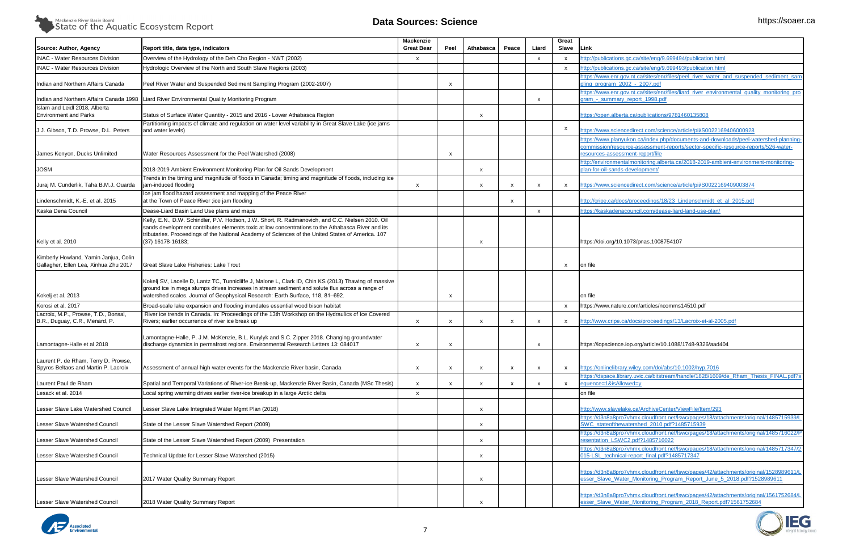

| Source: Author, Agency                                                         | Report title, data type, indicators                                                                                                                                                                                                                                                                                             | Mackenzie<br><b>Great Bear</b> | Peel                      | Athabasca                 | Peace                     | Liard                     | Great<br>Slave            | <b>Link</b>                                                                                                                                                                  |
|--------------------------------------------------------------------------------|---------------------------------------------------------------------------------------------------------------------------------------------------------------------------------------------------------------------------------------------------------------------------------------------------------------------------------|--------------------------------|---------------------------|---------------------------|---------------------------|---------------------------|---------------------------|------------------------------------------------------------------------------------------------------------------------------------------------------------------------------|
| <b>INAC - Water Resources Division</b>                                         | Overview of the Hydrology of the Deh Cho Region - NWT (2002)                                                                                                                                                                                                                                                                    | $\boldsymbol{\mathsf{x}}$      |                           |                           |                           | $\boldsymbol{\mathsf{x}}$ | $\mathsf{x}$              | http://publications.gc.ca/site/eng/9.699494/publication.html                                                                                                                 |
| <b>INAC - Water Resources Division</b>                                         | Hydrologic Overview of the North and South Slave Regions (2003)                                                                                                                                                                                                                                                                 |                                |                           |                           |                           |                           | $\mathsf{x}$              | http://publications.gc.ca/site/eng/9.699493/publication.html                                                                                                                 |
| Indian and Northern Affairs Canada                                             | Peel River Water and Suspended Sediment Sampling Program (2002-2007)                                                                                                                                                                                                                                                            |                                | X                         |                           |                           |                           |                           | https://www.enr.gov.nt.ca/sites/enr/files/peel_river_water_and_suspene<br>pling_program_2002_-_2007.pdf                                                                      |
|                                                                                |                                                                                                                                                                                                                                                                                                                                 |                                |                           |                           |                           |                           |                           | https://www.enr.gov.nt.ca/sites/enr/files/liard_river_environmental_qua                                                                                                      |
| Indian and Northern Affairs Canada 1998                                        | Liard River Environmental Quality Monitoring Program                                                                                                                                                                                                                                                                            |                                |                           |                           |                           | X                         |                           | gram_-_summary_report_1998.pdf                                                                                                                                               |
| Islam and Leidl 2018, Alberta<br><b>Environment and Parks</b>                  | Status of Surface Water Quantity - 2015 and 2016 - Lower Athabasca Region                                                                                                                                                                                                                                                       |                                |                           | X                         |                           |                           |                           | https://open.alberta.ca/publications/9781460135808                                                                                                                           |
| J.J. Gibson, T.D. Prowse, D.L. Peters                                          | Partitioning impacts of climate and regulation on water level variability in Great Slave Lake (ice jams<br>and water levels)                                                                                                                                                                                                    |                                |                           |                           |                           |                           | X                         | https://www.sciencedirect.com/science/article/pii/S0022169406000928                                                                                                          |
| James Kenyon, Ducks Unlimited                                                  | Water Resources Assessment for the Peel Watershed (2008)                                                                                                                                                                                                                                                                        |                                | $\boldsymbol{\mathsf{x}}$ |                           |                           |                           |                           | https://www.planyukon.ca/index.php/documents-and-downloads/peel-v<br>commission/resource-assessment-reports/sector-specific-resource-rep<br>resources-assessment-report/file |
| <b>JOSM</b>                                                                    | 2018-2019 Ambient Environment Monitoring Plan for Oil Sands Development                                                                                                                                                                                                                                                         |                                |                           | X                         |                           |                           |                           | http://environmentalmonitoring.alberta.ca/2018-2019-ambient-environn<br>plan-for-oil-sands-development/                                                                      |
| Juraj M. Cunderlik, Taha B.M.J. Ouarda                                         | Trends in the timing and magnitude of floods in Canada; timing and magnitude of floods, including ice<br>jam-induced flooding                                                                                                                                                                                                   | X                              |                           | X                         | $\boldsymbol{\mathsf{x}}$ | $\boldsymbol{\mathsf{x}}$ | $\mathsf{x}$              | https://www.sciencedirect.com/science/article/pii/S0022169409003874                                                                                                          |
| Lindenschmidt, K.-E. et al. 2015                                               | Ice jam flood hazard assessment and mapping of the Peace River<br>at the Town of Peace River ;ice jam flooding                                                                                                                                                                                                                  |                                |                           |                           |                           |                           |                           | http://cripe.ca/docs/proceedings/18/23 Lindenschmidt et al 2015.pdf                                                                                                          |
| Kaska Dena Council                                                             | Dease-Liard Basin Land Use plans and maps                                                                                                                                                                                                                                                                                       |                                |                           |                           |                           | $\boldsymbol{\mathsf{x}}$ |                           | https://kaskadenacouncil.com/dease-liard-land-use-plan/                                                                                                                      |
| Kelly et al. 2010                                                              | Kelly, E.N., D.W. Schindler, P.V. Hodson, J.W. Short, R. Radmanovich, and C.C. Nielsen 2010. Oil<br>sands development contributes elements toxic at low concentrations to the Athabasca River and its<br>tributaries. Proceedings of the National Academy of Sciences of the United States of America. 107<br>(37) 16178-16183; |                                |                           | X                         |                           |                           |                           | https://doi.org/10.1073/pnas.1008754107                                                                                                                                      |
| Kimberly Howland, Yamin Janjua, Colin<br>Gallagher, Ellen Lea, Xinhua Zhu 2017 | Great Slave Lake Fisheries: Lake Trout                                                                                                                                                                                                                                                                                          |                                |                           |                           |                           |                           | $\boldsymbol{\mathsf{x}}$ | on file                                                                                                                                                                      |
| Kokelj et al. 2013                                                             | Kokelj SV, Lacelle D, Lantz TC, Tunnicliffe J, Malone L, Clark ID, Chin KS (2013) Thawing of massive<br>ground ice in mega slumps drives increases in stream sediment and solute flux across a range of<br>watershed scales. Journal of Geophysical Research: Earth Surface, 118, 81-692.                                       |                                | $\boldsymbol{\mathsf{x}}$ |                           |                           |                           |                           | on file                                                                                                                                                                      |
| Korosi et al. 2017                                                             | Broad-scale lake expansion and flooding inundates essential wood bison habitat                                                                                                                                                                                                                                                  |                                |                           |                           |                           |                           | $\mathsf{x}$              | https://www.nature.com/articles/ncomms14510.pdf                                                                                                                              |
| Lacroix, M.P., Prowse, T.D., Bonsal,<br>B.R., Duguay, C.R., Menard, P.         | River ice trends in Canada. In: Proceedings of the 13th Workshop on the Hydraulics of Ice Covered<br>Rivers; earlier occurrence of river ice break up                                                                                                                                                                           | $\mathsf{x}$                   | X                         | X                         | $\boldsymbol{\mathsf{x}}$ | $\boldsymbol{\mathsf{x}}$ | $\mathsf{x}$              | http://www.cripe.ca/docs/proceedings/13/Lacroix-et-al-2005.pdf                                                                                                               |
| Lamontagne-Halle et al 2018                                                    | Lamontagne-Halle, P. J.M. McKenzie, B.L. Kurylyk and S.C. Zipper 2018. Changing groundwater<br>discharge dynamics in permafrost regions. Environmental Research Letters 13: 084017                                                                                                                                              | X                              | X                         |                           |                           | $\boldsymbol{\mathsf{x}}$ |                           | https://iopscience.iop.org/article/10.1088/1748-9326/aad404                                                                                                                  |
| Laurent P. de Rham, Terry D. Prowse,<br>Spyros Beltaos and Martin P. Lacroix   | Assessment of annual high-water events for the Mackenzie River basin, Canada                                                                                                                                                                                                                                                    | X                              | x                         | x                         | $\boldsymbol{\mathsf{x}}$ | X                         | x                         | https://onlinelibrary.wiley.com/doi/abs/10.1002/hyp.7016                                                                                                                     |
| Laurent Paul de Rham                                                           | Spatial and Temporal Variations of River-ice Break-up, Mackenzie River Basin, Canada (MSc Thesis)                                                                                                                                                                                                                               | X                              | X                         | x                         | $\boldsymbol{\mathsf{x}}$ | X                         | $\boldsymbol{\mathsf{x}}$ | https://dspace.library.uvic.ca/bitstream/handle/1828/1609/de_Rham_T<br>equence=1&isAllowed=y                                                                                 |
| Lesack et al. 2014                                                             | Local spring warming drives earlier river-ice breakup in a large Arctic delta                                                                                                                                                                                                                                                   | $\boldsymbol{\mathsf{x}}$      |                           |                           |                           |                           |                           | on file                                                                                                                                                                      |
| Lesser Slave Lake Watershed Council                                            | Lesser Slave Lake Integrated Water Mgmt Plan (2018)                                                                                                                                                                                                                                                                             |                                |                           | X                         |                           |                           |                           | http://www.slavelake.ca/ArchiveCenter/ViewFile/Item/293                                                                                                                      |
| Lesser Slave Watershed Council                                                 | State of the Lesser Slave Watershed Report (2009)                                                                                                                                                                                                                                                                               |                                |                           | X                         |                           |                           |                           | https://d3n8a8pro7vhmx.cloudfront.net/lswc/pages/18/attachments/orio<br>SWC_stateofthewatershed_2010.pdf?1485715939                                                          |
| Lesser Slave Watershed Council                                                 | State of the Lesser Slave Watershed Report (2009) Presentation                                                                                                                                                                                                                                                                  |                                |                           | X                         |                           |                           |                           | https://d3n8a8pro7vhmx.cloudfront.net/lswc/pages/18/attachments/orig<br>resentation_LSWC2.pdf?1485716022                                                                     |
| Lesser Slave Watershed Council                                                 | Technical Update for Lesser Slave Watershed (2015)                                                                                                                                                                                                                                                                              |                                |                           | $\boldsymbol{\mathsf{x}}$ |                           |                           |                           | https://d3n8a8pro7vhmx.cloudfront.net/lswc/pages/18/attachments/orig<br>015-LSL_technical-report_final.pdf?1485717347                                                        |
| Lesser Slave Watershed Council                                                 | 2017 Water Quality Summary Report                                                                                                                                                                                                                                                                                               |                                |                           | x                         |                           |                           |                           | https://d3n8a8pro7vhmx.cloudfront.net/lswc/pages/42/attachments/orig<br>esser_Slave_Water_Monitoring_Program_Report_June_5_2018.pdf?1                                        |
| Lesser Slave Watershed Council                                                 | 2018 Water Quality Summary Report                                                                                                                                                                                                                                                                                               |                                |                           | X                         |                           |                           |                           | https://d3n8a8pro7vhmx.cloudfront.net/lswc/pages/42/attachments/orig<br>esser_Slave_Water_Monitoring_Program_2018_Report.pdf?15617526                                        |



| Link                                                                                                                                                            |
|-----------------------------------------------------------------------------------------------------------------------------------------------------------------|
| http://publications.gc.ca/site/eng/9.699494/publication.html                                                                                                    |
| http://publications.gc.ca/site/eng/9.699493/publication.html                                                                                                    |
| https://www.enr.gov.nt.ca/sites/enr/files/peel_river_water_and_suspended_sediment_sam                                                                           |
| pling program 2002 - 2007.pdf                                                                                                                                   |
| https://www.enr.gov.nt.ca/sites/enr/files/liard_river_environmental_quality_monitoring_pro                                                                      |
| gram - summary report 1998.pdf                                                                                                                                  |
| https://open.alberta.ca/publications/9781460135808                                                                                                              |
| https://www.sciencedirect.com/science/article/pii/S0022169406000928                                                                                             |
| https://www.planyukon.ca/index.php/documents-and-downloads/peel-watershed-planning-                                                                             |
| commission/resource-assessment-reports/sector-specific-resource-reports/526-water-                                                                              |
| resources-assessment-report/file                                                                                                                                |
| http://environmentalmonitoring.alberta.ca/2018-2019-ambient-environment-monitoring-<br>plan-for-oil-sands-development/                                          |
| https://www.sciencedirect.com/science/article/pii/S0022169409003874                                                                                             |
| http://cripe.ca/docs/proceedings/18/23_Lindenschmidt_et_al_2015.pdf                                                                                             |
| https://kaskadenacouncil.com/dease-liard-land-use-plan/                                                                                                         |
| https://doi.org/10.1073/pnas.1008754107                                                                                                                         |
| on file                                                                                                                                                         |
|                                                                                                                                                                 |
| on file                                                                                                                                                         |
| https://www.nature.com/articles/ncomms14510.pdf                                                                                                                 |
|                                                                                                                                                                 |
| http://www.cripe.ca/docs/proceedings/13/Lacroix-et-al-2005.pdf                                                                                                  |
| https://iopscience.iop.org/article/10.1088/1748-9326/aad404                                                                                                     |
|                                                                                                                                                                 |
| https://onlinelibrary.wiley.com/doi/abs/10.1002/hyp.7016                                                                                                        |
| https://dspace.library.uvic.ca/bitstream/handle/1828/1609/de_Rham_Thesis_FINAL.pdf?s<br>equence=1&isAllowed=y                                                   |
| on file                                                                                                                                                         |
| http://www.slavelake.ca/ArchiveCenter/ViewFile/Item/293                                                                                                         |
| https://d3n8a8pro7vhmx.cloudfront.net/lswc/pages/18/attachments/original/1485715939/L                                                                           |
| SWC_stateofthewatershed_2010.pdf?1485715939                                                                                                                     |
| https://d3n8a8pro7vhmx.cloudfront.net/lswc/pages/18/attachments/original/1485716022/P<br>resentation_LSWC2.pdf?1485716022                                       |
| https://d3n8a8pro7vhmx.cloudfront.net/lswc/pages/18/attachments/original/1485717347/2<br>015-LSL_technical-report_final.pdf?1485717347                          |
|                                                                                                                                                                 |
| https://d3n8a8pro7vhmx.cloudfront.net/lswc/pages/42/attachments/original/1528989611/L<br>esser_Slave_Water_Monitoring_Program_Report_June_5_2018.pdf?1528989611 |
| https://d3n8a8pro7vhmx.cloudfront.net/lswc/pages/42/attachments/original/1561752684/L                                                                           |
| esser_Slave_Water_Monitoring_Program_2018_Report.pdf?1561752684                                                                                                 |
|                                                                                                                                                                 |

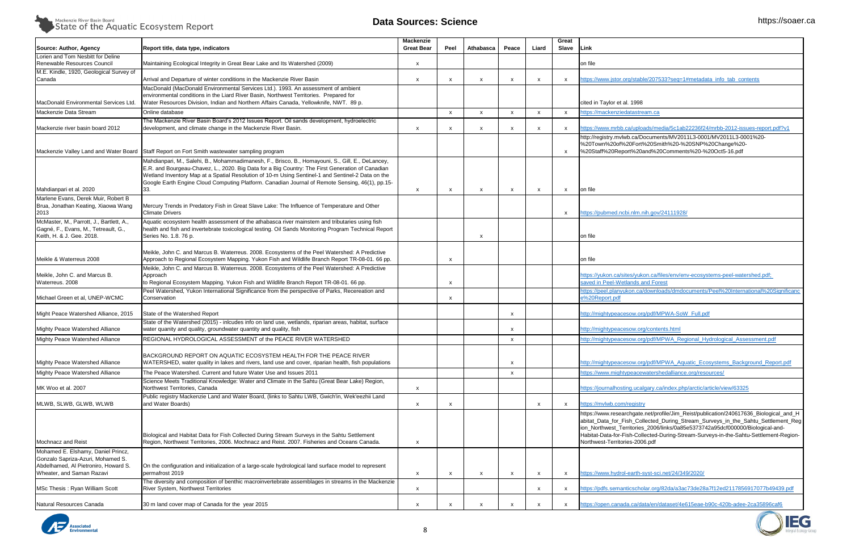

| Source: Author, Agency                                                                                        | Report title, data type, indicators                                                                                                                                                                                                                                                                                                                                                                          | <b>Mackenzie</b><br><b>Great Bear</b> | Peel                      | Athabasca                 | Peace                     | Liard                     | Great<br>Slave            | <b>Link</b>                                                                                                                                                                                                                                                                                                                                                                     |
|---------------------------------------------------------------------------------------------------------------|--------------------------------------------------------------------------------------------------------------------------------------------------------------------------------------------------------------------------------------------------------------------------------------------------------------------------------------------------------------------------------------------------------------|---------------------------------------|---------------------------|---------------------------|---------------------------|---------------------------|---------------------------|---------------------------------------------------------------------------------------------------------------------------------------------------------------------------------------------------------------------------------------------------------------------------------------------------------------------------------------------------------------------------------|
| Lorien and Tom Nesbitt for Deline<br>Renewable Resources Council                                              | Maintaining Ecological Integrity in Great Bear Lake and Its Watershed (2009)                                                                                                                                                                                                                                                                                                                                 | X                                     |                           |                           |                           |                           |                           | on file                                                                                                                                                                                                                                                                                                                                                                         |
| M.E. Kindle, 1920, Geological Survey of                                                                       |                                                                                                                                                                                                                                                                                                                                                                                                              |                                       |                           |                           |                           |                           |                           |                                                                                                                                                                                                                                                                                                                                                                                 |
| Canada                                                                                                        | Arrival and Departure of winter conditions in the Mackenzie River Basin                                                                                                                                                                                                                                                                                                                                      | $\boldsymbol{\mathsf{x}}$             | $\boldsymbol{\mathsf{x}}$ | $\mathsf{x}$              | $\mathsf{x}$              | $\boldsymbol{\mathsf{x}}$ | $\mathsf{x}$              | https://www.jstor.org/stable/207533?seq=1#metadata_info_tab_contents                                                                                                                                                                                                                                                                                                            |
|                                                                                                               | MacDonald (MacDonald Environmental Services Ltd.). 1993. An assessment of ambient<br>environmental conditions in the Liard River Basin, Northwest Territories. Prepared for                                                                                                                                                                                                                                  |                                       |                           |                           |                           |                           |                           |                                                                                                                                                                                                                                                                                                                                                                                 |
| MacDonald Environmental Services Ltd.                                                                         | Water Resources Division, Indian and Northern Affairs Canada, Yellowknife, NWT. 89 p.                                                                                                                                                                                                                                                                                                                        |                                       |                           |                           |                           |                           |                           | cited in Taylor et al. 1998                                                                                                                                                                                                                                                                                                                                                     |
| Mackenzie Data Stream                                                                                         | Online database                                                                                                                                                                                                                                                                                                                                                                                              |                                       | $\mathsf{x}$              | $\mathsf{x}$              | $\mathsf{x}$              | $\boldsymbol{\mathsf{x}}$ | $\mathsf{x}$              | https://mackenziedatastream.ca                                                                                                                                                                                                                                                                                                                                                  |
| Mackenzie river basin board 2012                                                                              | The Mackenzie River Basin Board's 2012 Issues Report. Oil sands development, hydroelectric<br>development, and climate change in the Mackenzie River Basin.                                                                                                                                                                                                                                                  | X                                     | X                         | X                         | $\mathsf{x}$              | X                         | $\mathsf{x}$              | https://www.mrbb.ca/uploads/media/5c1ab22236f24/mrbb-2012-issues-report.pdf?v1                                                                                                                                                                                                                                                                                                  |
| Mackenzie Valley Land and Water Board                                                                         | Staff Report on Fort Smith wastewater sampling program                                                                                                                                                                                                                                                                                                                                                       |                                       |                           |                           |                           |                           | $\boldsymbol{\mathsf{x}}$ | http://registry.mvlwb.ca/Documents/MV2011L3-0001/MV2011L3-0001%20-<br>%20Town%20of%20Fort%20Smith%20-%20SNP%20Change%20-<br>%20Staff%20Report%20and%20Comments%20-%20Oct5-16.pdf                                                                                                                                                                                                |
|                                                                                                               | Mahdianpari, M., Salehi, B., Mohammadimanesh, F., Brisco, B., Homayouni, S., Gill, E., DeLancey,<br>E.R. and Bourgeau-Chavez, L., 2020. Big Data for a Big Country: The First Generation of Canadian<br>Wetland Inventory Map at a Spatial Resolution of 10-m Using Sentinel-1 and Sentinel-2 Data on the<br>Google Earth Engine Cloud Computing Platform. Canadian Journal of Remote Sensing, 46(1), pp.15- |                                       |                           |                           |                           |                           |                           |                                                                                                                                                                                                                                                                                                                                                                                 |
| Mahdianpari et al. 2020                                                                                       | 33.                                                                                                                                                                                                                                                                                                                                                                                                          | $\boldsymbol{\mathsf{x}}$             | $\boldsymbol{\mathsf{x}}$ | $\mathsf{x}$              | $\boldsymbol{\mathsf{x}}$ | X                         | $\boldsymbol{\mathsf{x}}$ | on file                                                                                                                                                                                                                                                                                                                                                                         |
| Marlene Evans, Derek Muir, Robert B<br>Brua, Jonathan Keating, Xiaowa Wang<br>2013                            | Mercury Trends in Predatory Fish in Great Slave Lake: The Influence of Temperature and Other<br><b>Climate Drivers</b>                                                                                                                                                                                                                                                                                       |                                       |                           |                           |                           |                           | $\mathsf{x}$              | https://pubmed.ncbi.nlm.nih.gov/24111928/                                                                                                                                                                                                                                                                                                                                       |
| McMaster, M., Parrott, J., Bartlett, A.,<br>Gagné, F., Evans, M., Tetreault, G.,<br>Keith, H. & J. Gee, 2018. | Aquatic ecosystem health assessment of the athabasca river mainstem and tributaries using fish<br>health and fish and invertebrate toxicological testing. Oil Sands Monitoring Program Technical Report<br>Series No. 1.8. 76 p.                                                                                                                                                                             |                                       |                           | $\boldsymbol{\mathsf{x}}$ |                           |                           |                           | on file                                                                                                                                                                                                                                                                                                                                                                         |
| Meikle & Waterreus 2008                                                                                       | Meikle, John C. and Marcus B. Waterreus. 2008. Ecosystems of the Peel Watershed: A Predictive<br>Approach to Regional Ecosystem Mapping. Yukon Fish and Wildlife Branch Report TR-08-01. 66 pp.                                                                                                                                                                                                              |                                       | X                         |                           |                           |                           |                           | on file                                                                                                                                                                                                                                                                                                                                                                         |
| Meikle, John C. and Marcus B.<br>Waterreus. 2008                                                              | Meikle, John C. and Marcus B. Waterreus. 2008. Ecosystems of the Peel Watershed: A Predictive<br>Approach<br>to Regional Ecosystem Mapping. Yukon Fish and Wildlife Branch Report TR-08-01. 66 pp.                                                                                                                                                                                                           |                                       | X                         |                           |                           |                           |                           | https://yukon.ca/sites/yukon.ca/files/env/env-ecosystems-peel-watershed.pdf;<br>saved in Peel-Wetlands and Forest                                                                                                                                                                                                                                                               |
| Michael Green et al, UNEP-WCMC                                                                                | Peel Watershed, Yukon International Significance from the perspective of Parks, Recereation and<br>Conservation                                                                                                                                                                                                                                                                                              |                                       | X                         |                           |                           |                           |                           | https://peel.planyukon.ca/downloads/dmdocuments/Peel%20International%20Significa<br>e%20Report.pdf                                                                                                                                                                                                                                                                              |
| Might Peace Watershed Alliance, 2015                                                                          | State of the Watershed Report                                                                                                                                                                                                                                                                                                                                                                                |                                       |                           |                           | $\mathsf{x}$              |                           |                           | http://mightypeacesow.org/pdf/MPWA-SoW Full.pdf                                                                                                                                                                                                                                                                                                                                 |
| Mighty Peace Watershed Alliance                                                                               | State of the Watershed (2015) - inlcudes info on land use, wetlands, riparian areas, habitat, surface<br>water quanity and quality, groundwater quantity and quality, fish                                                                                                                                                                                                                                   |                                       |                           |                           | $\mathsf{x}$              |                           |                           | http://mightypeacesow.org/contents.html                                                                                                                                                                                                                                                                                                                                         |
| Mighty Peace Watershed Alliance                                                                               | REGIONAL HYDROLOGICAL ASSESSMENT of the PEACE RIVER WATERSHED                                                                                                                                                                                                                                                                                                                                                |                                       |                           |                           | $\mathsf{x}$              |                           |                           | http://mightypeacesow.org/pdf/MPWA Regional Hydrological Assessment.pdf                                                                                                                                                                                                                                                                                                         |
| Mighty Peace Watershed Alliance                                                                               | BACKGROUND REPORT ON AQUATIC ECOSYSTEM HEALTH FOR THE PEACE RIVER<br>WATERSHED, water quality in lakes and rivers, land use and cover, riparian health, fish populations                                                                                                                                                                                                                                     |                                       |                           |                           | $\boldsymbol{\mathsf{x}}$ |                           |                           | http://mightypeacesow.org/pdf/MPWA Aquatic Ecosystems Background Report.pdf                                                                                                                                                                                                                                                                                                     |
| Mighty Peace Watershed Alliance                                                                               | The Peace Watershed. Current and future Water Use and Issues 2011                                                                                                                                                                                                                                                                                                                                            |                                       |                           |                           | $\mathsf{x}$              |                           |                           | https://www.mightypeacewatershedalliance.org/resources/                                                                                                                                                                                                                                                                                                                         |
| MK Woo et al. 2007                                                                                            | Science Meets Traditional Knowledge: Water and Climate in the Sahtu (Great Bear Lake) Region,<br>Northwest Territories, Canada                                                                                                                                                                                                                                                                               | X                                     |                           |                           |                           |                           |                           | https://journalhosting.ucalgary.ca/index.php/arctic/article/view/63325                                                                                                                                                                                                                                                                                                          |
| MLWB, SLWB, GLWB, WLWB                                                                                        | Public registry Mackenzie Land and Water Board, (links to Sahtu LWB, Gwich'in, Wek'eezhii Land<br>and Water Boards)                                                                                                                                                                                                                                                                                          | x                                     | X                         |                           |                           | X                         | $\boldsymbol{\mathsf{x}}$ | https://mvlwb.com/registry                                                                                                                                                                                                                                                                                                                                                      |
| Mochnacz and Reist                                                                                            | Biological and Habitat Data for Fish Collected During Stream Surveys in the Sahtu Settlement<br>Region, Northwest Territories, 2006. Mochnacz and Reist. 2007. Fisheries and Oceans Canada.                                                                                                                                                                                                                  | x                                     |                           |                           |                           |                           |                           | https://www.researchgate.net/profile/Jim_Reist/publication/240617636_Biological_and<br>abitat_Data_for_Fish_Collected_During_Stream_Surveys_in_the_Sahtu_Settlement_F<br>ion_Northwest_Territories_2006/links/0a85e5373742a95dcf000000/Biological-and-<br>Habitat-Data-for-Fish-Collected-During-Stream-Surveys-in-the-Sahtu-Settlement-Regio<br>Northwest-Territories-2006.pdf |
| Mohamed E. Elshamy, Daniel Princz,<br>Gonzalo Sapriza-Azuri, Mohamed S.                                       |                                                                                                                                                                                                                                                                                                                                                                                                              |                                       |                           |                           |                           |                           |                           |                                                                                                                                                                                                                                                                                                                                                                                 |
| Abdelhamed, Al Pietroniro, Howard S.<br>Wheater, and Saman Razavi                                             | On the configuration and initialization of a large-scale hydrological land surface model to represent<br>permafrost 2019                                                                                                                                                                                                                                                                                     | X                                     | x                         | $\boldsymbol{\mathsf{x}}$ | $\boldsymbol{\mathsf{x}}$ | X                         | $\boldsymbol{\mathsf{x}}$ | https://www.hydrol-earth-syst-sci.net/24/349/2020/                                                                                                                                                                                                                                                                                                                              |
| MSc Thesis: Ryan William Scott                                                                                | The diversity and composition of benthic macroinvertebrate assemblages in streams in the Mackenzie<br>River System, Northwest Territories                                                                                                                                                                                                                                                                    | X                                     |                           |                           |                           | x                         | $\boldsymbol{\mathsf{x}}$ | https://pdfs.semanticscholar.org/82da/a3ac73de28a7f12ed2117856917077b49439.pdf                                                                                                                                                                                                                                                                                                  |
| Natural Resources Canada                                                                                      | 30 m land cover map of Canada for the year 2015                                                                                                                                                                                                                                                                                                                                                              | x                                     |                           | $\mathsf{x}$              |                           | x                         | $\mathsf{x}$              | https://open.canada.ca/data/en/dataset/4e615eae-b90c-420b-adee-2ca35896caf6                                                                                                                                                                                                                                                                                                     |



| Link                                                                                                                                                                                                                                                                                                                                                                                  |
|---------------------------------------------------------------------------------------------------------------------------------------------------------------------------------------------------------------------------------------------------------------------------------------------------------------------------------------------------------------------------------------|
| on file                                                                                                                                                                                                                                                                                                                                                                               |
| https://www.jstor.org/stable/207533?seq=1#metadata_info_tab_contents                                                                                                                                                                                                                                                                                                                  |
|                                                                                                                                                                                                                                                                                                                                                                                       |
| cited in Taylor et al. 1998                                                                                                                                                                                                                                                                                                                                                           |
| https://mackenziedatastream.ca                                                                                                                                                                                                                                                                                                                                                        |
| https://www.mrbb.ca/uploads/media/5c1ab22236f24/mrbb-2012-issues-report.pdf?v1                                                                                                                                                                                                                                                                                                        |
| http://registry.mvlwb.ca/Documents/MV2011L3-0001/MV2011L3-0001%20-<br>%20Town%20of%20Fort%20Smith%20-%20SNP%20Change%20-<br>%20Staff%20Report%20and%20Comments%20-%20Oct5-16.pdf                                                                                                                                                                                                      |
|                                                                                                                                                                                                                                                                                                                                                                                       |
|                                                                                                                                                                                                                                                                                                                                                                                       |
| on file                                                                                                                                                                                                                                                                                                                                                                               |
|                                                                                                                                                                                                                                                                                                                                                                                       |
| https://pubmed.ncbi.nlm.nih.gov/24111928/                                                                                                                                                                                                                                                                                                                                             |
|                                                                                                                                                                                                                                                                                                                                                                                       |
| on file                                                                                                                                                                                                                                                                                                                                                                               |
|                                                                                                                                                                                                                                                                                                                                                                                       |
| on file                                                                                                                                                                                                                                                                                                                                                                               |
| https://yukon.ca/sites/yukon.ca/files/env/env-ecosystems-peel-watershed.pdf;<br>saved in Peel-Wetlands and Forest                                                                                                                                                                                                                                                                     |
| https://peel.planyukon.ca/downloads/dmdocuments/Peel%20International%20Significanc<br>e%20Report.pdf                                                                                                                                                                                                                                                                                  |
| http://mightypeacesow.org/pdf/MPWA-SoW_Full.pdf                                                                                                                                                                                                                                                                                                                                       |
| http://mightypeacesow.org/contents.html                                                                                                                                                                                                                                                                                                                                               |
| http://mightypeacesow.org/pdf/MPWA Regional Hydrological Assessment.pdf                                                                                                                                                                                                                                                                                                               |
|                                                                                                                                                                                                                                                                                                                                                                                       |
| http://mightypeacesow.org/pdf/MPWA_Aquatic_Ecosystems_Background_Report.pdf                                                                                                                                                                                                                                                                                                           |
| https://www.mightypeacewatershedalliance.org/resources/                                                                                                                                                                                                                                                                                                                               |
| https://journalhosting.ucalgary.ca/index.php/arctic/article/view/63325                                                                                                                                                                                                                                                                                                                |
| https://mvlwb.com/registry                                                                                                                                                                                                                                                                                                                                                            |
| https://www.researchgate.net/profile/Jim_Reist/publication/240617636_Biological_and_H<br>abitat_Data_for_Fish_Collected_During_Stream_Surveys_in_the_Sahtu_Settlement_Reg<br>ion_Northwest_Territories_2006/links/0a85e5373742a95dcf000000/Biological-and-<br>Habitat-Data-for-Fish-Collected-During-Stream-Surveys-in-the-Sahtu-Settlement-Region-<br>Northwest-Territories-2006.pdf |
|                                                                                                                                                                                                                                                                                                                                                                                       |
|                                                                                                                                                                                                                                                                                                                                                                                       |
| https://www.hydrol-earth-syst-sci.net/24/349/2020/                                                                                                                                                                                                                                                                                                                                    |
| https://pdfs.semanticscholar.org/82da/a3ac73de28a7f12ed2117856917077b49439.pdf                                                                                                                                                                                                                                                                                                        |
| https://open.canada.ca/data/en/dataset/4e615eae-b90c-420b-adee-2ca35896caf6                                                                                                                                                                                                                                                                                                           |
| $\blacksquare$                                                                                                                                                                                                                                                                                                                                                                        |



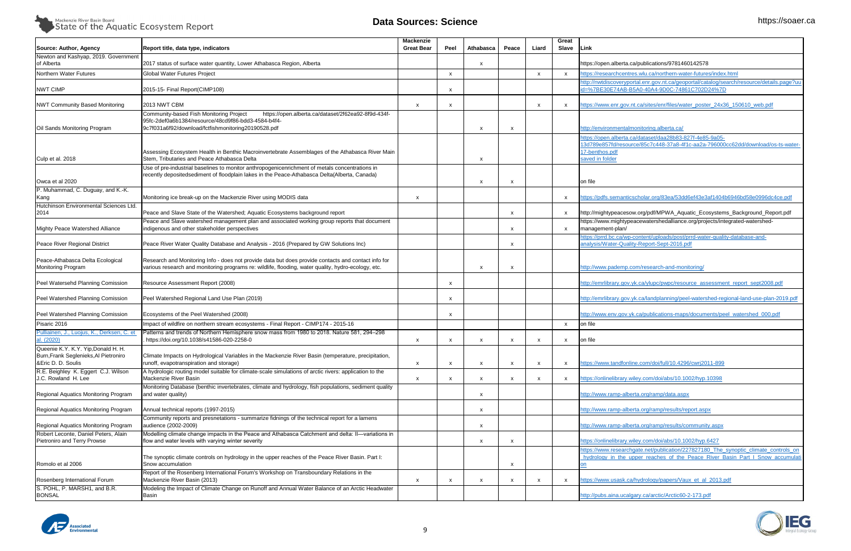

| Link                                                                                                                                       |
|--------------------------------------------------------------------------------------------------------------------------------------------|
| https://open.alberta.ca/publications/9781460142578                                                                                         |
| https://researchcentres.wlu.ca/northern-water-futures/index.html                                                                           |
| http://nwtdiscoveryportal.enr.gov.nt.ca/geoportal/catalog/search/resource/details.page?uu<br>id=%7BE30E74AB-B5A0-40A4-9D0C-74861C702D24%7D |
| https://www.enr.gov.nt.ca/sites/enr/files/water_poster_24x36_150610_web.pdf                                                                |
|                                                                                                                                            |
| http://environmentalmonitoring.alberta.ca/                                                                                                 |
| https://open.alberta.ca/dataset/daa28b83-827f-4e85-9a05-                                                                                   |
| 13d789e857fd/resource/85c7c448-37a8-4f1c-aa2a-796000cc62dd/download/os-ts-water-<br>17-benthos.pdf                                         |
| saved in folder                                                                                                                            |
|                                                                                                                                            |
| on file                                                                                                                                    |
| https://pdfs.semanticscholar.org/83ea/53dd6ef43e3af1404b6946bd58e0996dc4ce.pdf                                                             |
| http://mightypeacesow.org/pdf/MPWA_Aquatic_Ecosystems_Background_Report.pdf                                                                |
| https://www.mightypeacewatershedalliance.org/projects/integrated-watershed-<br>management-plan/                                            |
| https://prrd.bc.ca/wp-content/uploads/post/prrd-water-quality-database-and-                                                                |
| analysis/Water-Quality-Report-Sept-2016.pdf                                                                                                |
|                                                                                                                                            |
| http://www.pademp.com/research-and-monitoring/                                                                                             |
| http://emrlibrary.gov.yk.ca/ylupc/pwpc/resource_assessment_report_sept2008.pdf                                                             |
| http://emrlibrary.gov.yk.ca/landplanning/peel-watershed-regional-land-use-plan-2019.pdf                                                    |
| http://www.env.gov.yk.ca/publications-maps/documents/peel_watershed_000.pdf                                                                |
| on file                                                                                                                                    |
| on file                                                                                                                                    |
|                                                                                                                                            |
| https://www.tandfonline.com/doi/full/10.4296/cwrj2011-899                                                                                  |
| https://onlinelibrary.wiley.com/doi/abs/10.1002/hyp.10398                                                                                  |
| http://www.ramp-alberta.org/ramp/data.aspx                                                                                                 |
| http://www.ramp-alberta.org/ramp/results/report.aspx                                                                                       |
| http://www.ramp-alberta.org/ramp/results/community.aspx                                                                                    |
| https://onlinelibrary.wiley.com/doi/abs/10.1002/hyp.6427                                                                                   |
| https://www.researchgate.net/publication/227827180_The_synoptic_climate_controls_on                                                        |
| hydrology in the upper reaches of the Peace River Basin Part I Snow accumulati                                                             |
| on                                                                                                                                         |
| https://www.usask.ca/hydrology/papers/Vaux_et_al_2013.pdf                                                                                  |
|                                                                                                                                            |



| Source: Author, Agency                                                                             | Report title, data type, indicators                                                                                                                                                                          | Mackenzie<br><b>Great Bear</b> | Peel         | Athabasca                 | Peace                     | Liard                     | Great<br>Slave Link       |                                                                                                                                                                                 |
|----------------------------------------------------------------------------------------------------|--------------------------------------------------------------------------------------------------------------------------------------------------------------------------------------------------------------|--------------------------------|--------------|---------------------------|---------------------------|---------------------------|---------------------------|---------------------------------------------------------------------------------------------------------------------------------------------------------------------------------|
| Newton and Kashyap, 2019. Government<br>of Alberta                                                 | 2017 status of surface water quantity, Lower Athabasca Region, Alberta                                                                                                                                       |                                |              | $\boldsymbol{\mathsf{x}}$ |                           |                           |                           | https://open.alberta.ca/publications/9781460142578                                                                                                                              |
| Northern Water Futures                                                                             | Global Water Futures Project                                                                                                                                                                                 |                                | $\mathbf{x}$ |                           |                           | $\boldsymbol{\mathsf{x}}$ | $\boldsymbol{\mathsf{x}}$ | https://researchcentres.wlu.ca/northern-water-futures/index.html                                                                                                                |
| <b>NWT CIMP</b>                                                                                    | 2015-15- Final Report(CIMP108)                                                                                                                                                                               |                                | X            |                           |                           |                           |                           | ttp://nwtdiscoveryportal.enr.gov.nt.ca/geoportal/catalog/search/resource/details.page?u<br>d=%7BE30E74AB-B5A0-40A4-9D0C-74861C702D24%7D                                         |
| NWT Community Based Monitoring                                                                     | 2013 NWT CBM                                                                                                                                                                                                 |                                |              |                           |                           | $\times$                  | $\boldsymbol{\mathsf{x}}$ | https://www.enr.gov.nt.ca/sites/enr/files/water_poster_24x36_150610_web.pdf                                                                                                     |
| Oil Sands Monitoring Program                                                                       | Community-based Fish Monitoring Project<br>https://open.alberta.ca/dataset/2f62ea92-8f9d-434f-<br>95fc-2def0a6b1384/resource/48cd9f86-bdd3-4584-b4f4-<br>9c7f031a6f92/download/fctfishmonitoring20190528.pdf |                                |              | X                         | $\boldsymbol{\mathsf{x}}$ |                           |                           | ttp://environmentalmonitoring.alberta.ca/                                                                                                                                       |
| Culp et al. 2018                                                                                   | Assessing Ecosystem Health in Benthic Macroinvertebrate Assemblages of the Athabasca River Main<br>Stem, Tributaries and Peace Athabasca Delta                                                               |                                |              |                           |                           |                           |                           | https://open.alberta.ca/dataset/daa28b83-827f-4e85-9a05-<br>13d789e857fd/resource/85c7c448-37a8-4f1c-aa2a-796000cc62dd/download/os-ts-wate<br>17-benthos.pdf<br>saved in folder |
| Owca et al 2020                                                                                    | Use of pre-industrial baselines to monitor anthropogenicenrichment of metals concentrations in<br>recently depositedsediment of floodplain lakes in the Peace-Athabasca Delta(Alberta, Canada)               |                                |              |                           |                           |                           |                           | on file                                                                                                                                                                         |
| P. Muhammad, C. Duguay, and K.-K.<br>Kang<br>Hutchinson Environmental Sciences Ltd.                | Monitoring ice break-up on the Mackenzie River using MODIS data                                                                                                                                              | $\boldsymbol{\mathsf{x}}$      |              |                           |                           |                           | $\boldsymbol{\mathsf{x}}$ | https://pdfs.semanticscholar.org/83ea/53dd6ef43e3af1404b6946bd58e0996dc4ce.pdf                                                                                                  |
| 2014                                                                                               | Peace and Slave State of the Watershed; Aquatic Ecosystems background report                                                                                                                                 |                                |              |                           |                           |                           | $\boldsymbol{\mathsf{x}}$ | http://mightypeacesow.org/pdf/MPWA_Aquatic_Ecosystems_Background_Report.pdf                                                                                                     |
| Mighty Peace Watershed Alliance                                                                    | Peace and Slave watershed management plan and associated working group reports that document<br>indigenous and other stakeholder perspectives                                                                |                                |              |                           | $\boldsymbol{\mathsf{x}}$ |                           | $\mathsf{x}$              | https://www.mightypeacewatershedalliance.org/projects/integrated-watershed-<br>management-plan/                                                                                 |
| Peace River Regional District                                                                      | Peace River Water Quality Database and Analysis - 2016 (Prepared by GW Solutions Inc)                                                                                                                        |                                |              |                           |                           |                           |                           | https://prrd.bc.ca/wp-content/uploads/post/prrd-water-quality-database-and-<br>analysis/Water-Quality-Report-Sept-2016.pdf                                                      |
| Peace-Athabasca Delta Ecological<br><b>Monitoring Program</b>                                      | Research and Monitoring Info - does not provide data but does provide contacts and contact info for<br>various research and monitoring programs re: wildlife, flooding, water quality, hydro-ecology, etc.   |                                |              |                           |                           |                           |                           | http://www.pademp.com/research-and-monitoring/                                                                                                                                  |
| Peel Watersehd Planning Comission                                                                  | Resource Assessment Report (2008)                                                                                                                                                                            |                                | X            |                           |                           |                           |                           | http://emrlibrary.gov.yk.ca/ylupc/pwpc/resource_assessment_report_sept2008.pdf                                                                                                  |
| Peel Watershed Planning Comission                                                                  | Peel Watershed Regional Land Use Plan (2019)                                                                                                                                                                 |                                | X            |                           |                           |                           |                           | http://emrlibrary.gov.yk.ca/landplanning/peel-watershed-regional-land-use-plan-2019.pdf                                                                                         |
| Peel Watershed Planning Comission                                                                  | Ecosystems of the Peel Watershed (2008)                                                                                                                                                                      |                                | X            |                           |                           |                           |                           | http://www.env.gov.yk.ca/publications-maps/documents/peel_watershed_000.pdf                                                                                                     |
| Pisaric 2016                                                                                       | Impact of wildfire on northern stream ecosystems - Final Report - CIMP174 - 2015-16                                                                                                                          |                                |              |                           |                           |                           | $\boldsymbol{\mathsf{x}}$ | on file                                                                                                                                                                         |
| Pulliainen, J., Luojus, K., Derksen, C. et<br>al. (2020)                                           | Patterns and trends of Northern Hemisphere snow mass from 1980 to 2018. Nature 581, 294-298<br>https://doi.org/10.1038/s41586-020-2258-0                                                                     | $\boldsymbol{\mathsf{x}}$      | X            | х                         |                           | x                         | $\boldsymbol{\mathsf{x}}$ | on file                                                                                                                                                                         |
| Queenie K.Y. K.Y. Yip, Donald H. H.<br>Burn, Frank Seglenieks, Al Pietroniro<br>&Eric D. D. Soulis | Climate Impacts on Hydrological Variables in the Mackenzie River Basin (temperature, precipitation,<br>runoff, evapotranspiration and storage)                                                               | $\boldsymbol{\mathsf{x}}$      | X            | X                         | X                         | $\boldsymbol{\mathsf{x}}$ | $\boldsymbol{\mathsf{x}}$ | https://www.tandfonline.com/doi/full/10.4296/cwrj2011-899                                                                                                                       |
| R.E. Beighley K. Eggert C.J. Wilson<br>J.C. Rowland H. Lee                                         | A hydrologic routing model suitable for climate-scale simulations of arctic rivers: application to the<br>Mackenzie River Basin                                                                              | $\boldsymbol{\mathsf{x}}$      | X            | x                         | $\boldsymbol{\mathsf{x}}$ | $\boldsymbol{\mathsf{x}}$ | $\boldsymbol{\mathsf{x}}$ | https://onlinelibrary.wiley.com/doi/abs/10.1002/hyp.10398                                                                                                                       |
| Regional Aquatics Monitoring Program                                                               | Monitoring Database (benthic invertebrates, climate and hydrology, fish populations, sediment quality<br>and water quality)                                                                                  |                                |              | $\boldsymbol{\mathsf{x}}$ |                           |                           |                           | http://www.ramp-alberta.org/ramp/data.aspx                                                                                                                                      |
| Regional Aquatics Monitoring Program                                                               | Annual technical reports (1997-2015)                                                                                                                                                                         |                                |              | $\boldsymbol{\mathsf{x}}$ |                           |                           |                           | http://www.ramp-alberta.org/ramp/results/report.aspx                                                                                                                            |
| Regional Aquatics Monitoring Program                                                               | Community reports and presnetations - summarize fidnings of the technical report for a lamens<br>audience (2002-2009)                                                                                        |                                |              | X                         |                           |                           |                           | http://www.ramp-alberta.org/ramp/results/community.aspx                                                                                                                         |
| Robert Leconte, Daniel Peters, Alain<br>Pietroniro and Terry Prowse                                | Modelling climate change impacts in the Peace and Athabasca Catchment and delta: Il-variations in<br>flow and water levels with varying winter severity                                                      |                                |              | X                         | $\boldsymbol{\mathsf{x}}$ |                           |                           | https://onlinelibrary.wiley.com/doi/abs/10.1002/hyp.6427                                                                                                                        |
| Romolo et al 2006                                                                                  | The synoptic climate controls on hydrology in the upper reaches of the Peace River Basin. Part I:<br>Snow accumulation                                                                                       |                                |              |                           | х                         |                           |                           | https://www.researchgate.net/publication/227827180_The_synoptic_climate_controls_or<br>hydrology in the upper reaches of the Peace River Basin Part I Snow accumula             |
| Rosenberg International Forum                                                                      | Report of the Rosenberg International Forum's Workshop on Transboundary Relations in the<br>Mackenzie River Basin (2013)                                                                                     | $\boldsymbol{\mathsf{x}}$      | X            | X                         |                           | X                         | $\boldsymbol{\mathsf{x}}$ | https://www.usask.ca/hydrology/papers/Vaux_et_al_2013.pdf                                                                                                                       |
| S. POHL, P. MARSH1, and B.R.<br><b>BONSAL</b>                                                      | Modeling the Impact of Climate Change on Runoff and Annual Water Balance of an Arctic Headwater<br>Basin                                                                                                     |                                |              |                           |                           |                           |                           | http://pubs.aina.ucalgary.ca/arctic/Arctic60-2-173.pdf                                                                                                                          |

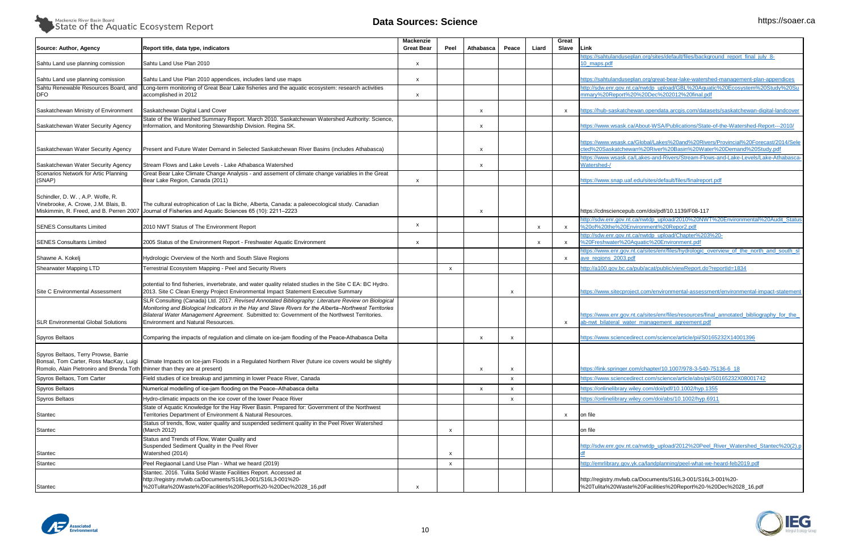

| Source: Author, Agency                                                                                              | Report title, data type, indicators                                                                                                                                                                                                                                                                                                                       | <b>Mackenzie</b><br><b>Great Bear</b> | Peel                      | Athabasca                 | Peace                     | Liard                     | Great<br>Slave            | lLink                                                                                                                                                                                                                                     |
|---------------------------------------------------------------------------------------------------------------------|-----------------------------------------------------------------------------------------------------------------------------------------------------------------------------------------------------------------------------------------------------------------------------------------------------------------------------------------------------------|---------------------------------------|---------------------------|---------------------------|---------------------------|---------------------------|---------------------------|-------------------------------------------------------------------------------------------------------------------------------------------------------------------------------------------------------------------------------------------|
| Sahtu Land use planning comission                                                                                   | Sahtu Land Use Plan 2010                                                                                                                                                                                                                                                                                                                                  | X                                     |                           |                           |                           |                           |                           | ttps://sahtulanduseplan.org/sites/default/files/background_report_final_july_8-<br>IO_maps.pdf                                                                                                                                            |
| Sahtu Land use planning comission                                                                                   | Sahtu Land Use Plan 2010 appendices, includes land use maps                                                                                                                                                                                                                                                                                               | X                                     |                           |                           |                           |                           |                           | https://sahtulanduseplan.org/great-bear-lake-watershed-management-plan-appendices                                                                                                                                                         |
| Sahtu Renewable Resources Board, and<br><b>DFO</b>                                                                  | Long-term monitoring of Great Bear Lake fisheries and the aquatic ecosystem: research activities<br>accomplished in 2012                                                                                                                                                                                                                                  | $\boldsymbol{\mathsf{x}}$             |                           |                           |                           |                           |                           | http://sdw.enr.gov.nt.ca/nwtdp_upload/GBL%20Aquatic%20Ecosystem%20Study%20Su<br>mmary%20Report%20%20Dec%202012%20final.pdf                                                                                                                |
| Saskatchewan Ministry of Environment                                                                                | Saskatchewan Digital Land Cover                                                                                                                                                                                                                                                                                                                           |                                       |                           | $\mathbf{x}$              |                           |                           | $\mathsf{x}$              | https://hub-saskatchewan.opendata.arcgis.com/datasets/saskatchewan-digital-landcove                                                                                                                                                       |
| Saskatchewan Water Security Agency                                                                                  | State of the Watershed Summary Report. March 2010. Saskatchewan Watershed Authority: Science,<br>Information, and Monitoring Stewardship Division. Regina SK.                                                                                                                                                                                             |                                       |                           | $\boldsymbol{\mathsf{x}}$ |                           |                           |                           | https://www.wsask.ca/About-WSA/Publications/State-of-the-Watershed-Report---2010/                                                                                                                                                         |
| Saskatchewan Water Security Agency                                                                                  | Present and Future Water Demand in Selected Saskatchewan River Basins (includes Athabasca)                                                                                                                                                                                                                                                                |                                       |                           | $\boldsymbol{\mathsf{x}}$ |                           |                           |                           | https://www.wsask.ca/Global/Lakes%20and%20Rivers/Provincial%20Forecast/2014/Sele<br>cted%20Saskatchewan%20River%20Basin%20Water%20Demand%20Study.pdf<br>https://www.wsask.ca/Lakes-and-Rivers/Stream-Flows-and-Lake-Levels/Lake-Athabasca |
| Saskatchewan Water Security Agency                                                                                  | Stream Flows and Lake Levels - Lake Athabasca Watershed                                                                                                                                                                                                                                                                                                   |                                       |                           | $\mathbf{x}$              |                           |                           |                           | Watershed-/                                                                                                                                                                                                                               |
| Scenarios Network for Artic Planning<br>(SNAP)                                                                      | Great Bear Lake Climate Change Analysis - and assement of climate change variables in the Great<br>Bear Lake Region, Canada (2011)                                                                                                                                                                                                                        | X                                     |                           |                           |                           |                           |                           | nttps://www.snap.uaf.edu/sites/default/files/finalreport.pdf                                                                                                                                                                              |
| Schindler, D. W., A.P. Wolfe, R.<br>Vinebrooke, A. Crowe, J.M. Blais, B.<br>Miskimmin, R. Freed, and B. Perren 2007 | The cultural eutrophication of Lac la Biche, Alberta, Canada: a paleoecological study. Canadian<br>Journal of Fisheries and Aquatic Sciences 65 (10): 2211-2223                                                                                                                                                                                           |                                       |                           | $\boldsymbol{\mathsf{x}}$ |                           |                           |                           | https://cdnsciencepub.com/doi/pdf/10.1139/F08-117                                                                                                                                                                                         |
| <b>SENES Consultants Limited</b>                                                                                    | 2010 NWT Status of The Environment Report                                                                                                                                                                                                                                                                                                                 | $\boldsymbol{\mathsf{x}}$             |                           |                           |                           | $\boldsymbol{\mathsf{x}}$ | X                         | http://sdw.enr.gov.nt.ca/nwtdp_upload/2010%20NWT%20Environmental%20Audit_Status<br>%20of%20the%20Environment%20Repor2.pdf                                                                                                                 |
| <b>SENES Consultants Limited</b>                                                                                    | 2005 Status of the Environment Report - Freshwater Aquatic Environment                                                                                                                                                                                                                                                                                    | x                                     |                           |                           |                           | X                         | $\boldsymbol{\mathsf{x}}$ | http://sdw.enr.gov.nt.ca/nwtdp_upload/Chapter%203%20-<br>%20Freshwater%20Aquatic%20Environment.pdf                                                                                                                                        |
| Shawne A. Kokelj                                                                                                    | Hydrologic Overview of the North and South Slave Regions                                                                                                                                                                                                                                                                                                  |                                       |                           |                           |                           |                           | $\boldsymbol{\mathsf{x}}$ | ittps://www.enr.gov.nt.ca/sites/enr/files/hydrologic_overview_of_the_north_and_south_s<br>ave_regions_2003.pdf                                                                                                                            |
| Shearwater Mapping LTD                                                                                              | Terrestrial Ecosystem Mapping - Peel and Security Rivers                                                                                                                                                                                                                                                                                                  |                                       | $\boldsymbol{\mathsf{x}}$ |                           |                           |                           |                           | http://a100.gov.bc.ca/pub/acat/public/viewReport.do?reportId=1834                                                                                                                                                                         |
| Site C Environmental Assessment                                                                                     | potential to find fisheries, invertebrate, and water quality related studies in the Site C EA: BC Hydro.<br>2013. Site C Clean Energy Project Environmental Impact Statement Executive Summary                                                                                                                                                            |                                       |                           |                           | $\boldsymbol{\mathsf{x}}$ |                           |                           | https://www.sitecproject.com/environmental-assessment/environmental-impact-statement                                                                                                                                                      |
| <b>SLR Environmental Global Solutions</b>                                                                           | SLR Consulting (Canada) Ltd. 2017. Revised Annotated Bibliography: Literature Review on Biological<br>Monitoring and Biological Indicators in the Hay and Slave Rivers for the Alberta-Northwest Territories<br>Bilateral Water Management Agreement. Submitted to: Government of the Northwest Territories.<br><b>Environment and Natural Resources.</b> |                                       |                           |                           |                           |                           | $\boldsymbol{\mathsf{x}}$ | https://www.enr.gov.nt.ca/sites/enr/files/resources/final_annotated_bibliography_for_the<br>ab-nwt bilateral water management agreement.pdf                                                                                               |
| Spyros Beltaos                                                                                                      | Comparing the impacts of regulation and climate on ice-jam flooding of the Peace-Athabasca Delta                                                                                                                                                                                                                                                          |                                       |                           | $\boldsymbol{\mathsf{x}}$ | $\boldsymbol{\mathsf{x}}$ |                           |                           | https://www.sciencedirect.com/science/article/pii/S0165232X14001396                                                                                                                                                                       |
| Spyros Beltaos, Terry Prowse, Barrie<br>Romolo, Alain Pietroniro and Brenda Toth thinner than they are at present)  | Bonsal, Tom Carter, Ross MacKay, Luigi Climate Impacts on Ice-jam Floods in a Regulated Northern River (future ice covers would be slightly                                                                                                                                                                                                               |                                       |                           | $\boldsymbol{\mathsf{x}}$ | $\boldsymbol{\mathsf{x}}$ |                           |                           | https://link.springer.com/chapter/10.1007/978-3-540-75136-6_18                                                                                                                                                                            |
| Spyros Beltaos, Tom Carter                                                                                          | Field studies of ice breakup and jamming in lower Peace River, Canada                                                                                                                                                                                                                                                                                     |                                       |                           |                           | $\boldsymbol{\mathsf{x}}$ |                           |                           | https://www.sciencedirect.com/science/article/abs/pii/S0165232X08001742                                                                                                                                                                   |
| Spyros Beltaos                                                                                                      | Numerical modelling of ice-jam flooding on the Peace-Athabasca delta                                                                                                                                                                                                                                                                                      |                                       |                           | $\boldsymbol{\mathsf{x}}$ | $\mathsf{x}$              |                           |                           | ttps://onlinelibrary.wiley.com/doi/pdf/10.1002/hyp.1355                                                                                                                                                                                   |
| Spyros Beltaos                                                                                                      | Hydro-climatic impacts on the ice cover of the lower Peace River                                                                                                                                                                                                                                                                                          |                                       |                           |                           | $\boldsymbol{\mathsf{x}}$ |                           |                           | https://onlinelibrary.wiley.com/doi/abs/10.1002/hyp.6911                                                                                                                                                                                  |
| Stantec                                                                                                             | State of Aquatic Knowledge for the Hay River Basin. Prepared for: Government of the Northwest<br>Territories Department of Environment & Natural Resources.                                                                                                                                                                                               |                                       |                           |                           |                           |                           | $\boldsymbol{\mathsf{x}}$ | on file                                                                                                                                                                                                                                   |
| Stantec                                                                                                             | Status of trends, flow, water quality and suspended sediment quality in the Peel River Watershed<br>(March 2012)                                                                                                                                                                                                                                          |                                       | x                         |                           |                           |                           |                           | on file                                                                                                                                                                                                                                   |
| Stantec                                                                                                             | Status and Trends of Flow, Water Quality and<br>Suspended Sediment Quality in the Peel River<br>Watershed (2014)                                                                                                                                                                                                                                          |                                       | $\boldsymbol{\mathsf{x}}$ |                           |                           |                           |                           | http://sdw.enr.gov.nt.ca/nwtdp_upload/2012%20Peel_River_Watershed_Stantec%20(2).p                                                                                                                                                         |
| Stantec                                                                                                             | Peel Regiaonal Land Use Plan - What we heard (2019)                                                                                                                                                                                                                                                                                                       |                                       | $\boldsymbol{\mathsf{x}}$ |                           |                           |                           |                           | http://emrlibrary.gov.yk.ca/landplanning/peel-what-we-heard-feb2019.pdf                                                                                                                                                                   |
| Stantec                                                                                                             | Stantec. 2016. Tulita Solid Waste Facilities Report. Accessed at<br>http://registry.mvlwb.ca/Documents/S16L3-001/S16L3-001%20-<br>%20Tulita%20Waste%20Facilities%20Report%20-%20Dec%2028_16.pdf                                                                                                                                                           |                                       |                           |                           |                           |                           |                           | http://registry.mvlwb.ca/Documents/S16L3-001/S16L3-001%20-<br>%20Tulita%20Waste%20Facilities%20Report%20-%20Dec%2028_16.pdf                                                                                                               |



| Link                                                                                                                                                 |
|------------------------------------------------------------------------------------------------------------------------------------------------------|
| https://sahtulanduseplan.org/sites/default/files/background_report_final_july_8-<br>10_maps.pdf                                                      |
| https://sahtulanduseplan.org/great-bear-lake-watershed-management-plan-appendices                                                                    |
| http://sdw.enr.gov.nt.ca/nwtdp_upload/GBL%20Aquatic%20Ecosystem%20Study%20Su<br>mmary%20Report%20%20Dec%202012%20final.pdf                           |
| https://hub-saskatchewan.opendata.arcgis.com/datasets/saskatchewan-digital-landcover                                                                 |
| https://www.wsask.ca/About-WSA/Publications/State-of-the-Watershed-Report---2010/                                                                    |
| https://www.wsask.ca/Global/Lakes%20and%20Rivers/Provincial%20Forecast/2014/Sele<br>cted%20Saskatchewan%20River%20Basin%20Water%20Demand%20Study.pdf |
| https://www.wsask.ca/Lakes-and-Rivers/Stream-Flows-and-Lake-Levels/Lake-Athabasca-<br>Watershed-/                                                    |
| https://www.snap.uaf.edu/sites/default/files/finalreport.pdf                                                                                         |
|                                                                                                                                                      |
|                                                                                                                                                      |
| https://cdnsciencepub.com/doi/pdf/10.1139/F08-117<br>http://sdw.enr.gov.nt.ca/nwtdp_upload/2010%20NWT%20Environmental%20Audit_Status                 |
| %20of%20the%20Environment%20Repor2.pdf                                                                                                               |
| http://sdw.enr.gov.nt.ca/nwtdp_upload/Chapter%203%20-<br>%20Freshwater%20Aquatic%20Environment.pdf                                                   |
| https://www.enr.gov.nt.ca/sites/enr/files/hydrologic overview of the north and south sl<br>ave_regions_2003.pdf                                      |
| http://a100.gov.bc.ca/pub/acat/public/viewReport.do?reportId=1834                                                                                    |
|                                                                                                                                                      |
| https://www.sitecproject.com/environmental-assessment/environmental-impact-statement                                                                 |
|                                                                                                                                                      |
| https://www.enr.gov.nt.ca/sites/enr/files/resources/final_annotated_bibliography_for_the<br>ab-nwt_bilateral_water_management_agreement.pdf          |
| https://www.sciencedirect.com/science/article/pii/S0165232X14001396                                                                                  |
|                                                                                                                                                      |
| https://link.springer.com/chapter/10.1007/978-3-540-75136-6_18                                                                                       |
| https://www.sciencedirect.com/science/article/abs/pii/S0165232X08001742                                                                              |
| https://onlinelibrary.wiley.com/doi/pdf/10.1002/hyp.1355                                                                                             |
| https://onlinelibrary.wiley.com/doi/abs/10.1002/hyp.6911                                                                                             |
| on file                                                                                                                                              |
| on file                                                                                                                                              |
| http://sdw.enr.gov.nt.ca/nwtdp_upload/2012%20Peel_River_Watershed_Stantec%20(2).p<br>df                                                              |
| http://emrlibrary.gov.yk.ca/landplanning/peel-what-we-heard-feb2019.pdf                                                                              |
| http://registry.mvlwb.ca/Documents/S16L3-001/S16L3-001%20-<br>%20Tulita%20Waste%20Facilities%20Report%20-%20Dec%2028_16.pdf                          |

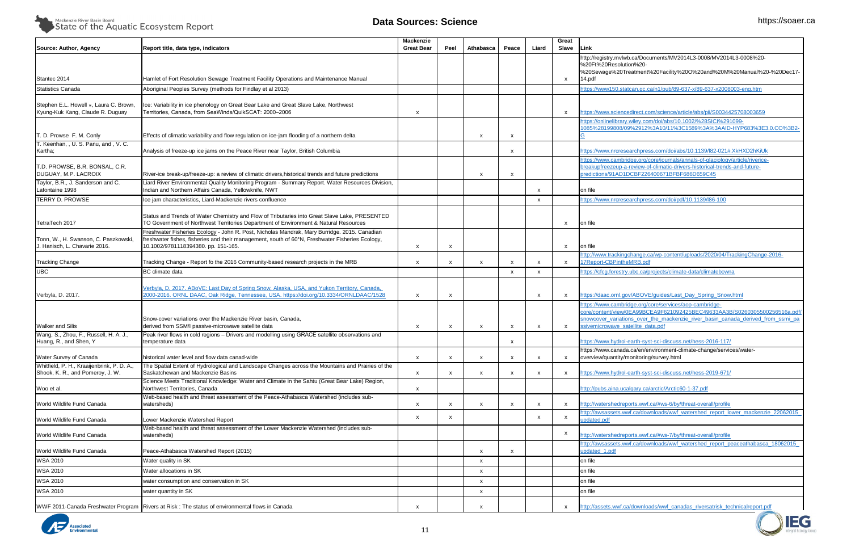

# $\blacktriangleright$  State of the Aquatic Ecosystem Report

| Link                                                                                                                                  |
|---------------------------------------------------------------------------------------------------------------------------------------|
| http://registry.mvlwb.ca/Documents/MV2014L3-0008/MV2014L3-0008%20-                                                                    |
| %20Ft%20Resolution%20-                                                                                                                |
| %20Sewage%20Treatment%20Facility%20O%20and%20M%20Manual%20-%20Dec17-                                                                  |
| 14.pdf                                                                                                                                |
| https://www150.statcan.gc.ca/n1/pub/89-637-x/89-637-x2008003-eng.htm                                                                  |
|                                                                                                                                       |
|                                                                                                                                       |
| https://www.sciencedirect.com/science/article/abs/pii/S0034425708003659                                                               |
| https://onlinelibrary.wiley.com/doi/abs/10.1002/%28SICI%291099-<br>1085%28199808/09%2912%3A10/11%3C1589%3A%3AAID-HYP683%3E3.0.CO%3B2- |
| G                                                                                                                                     |
|                                                                                                                                       |
| https://www.nrcresearchpress.com/doi/abs/10.1139/l82-021#.XkHXD2hKiUk                                                                 |
| https://www.cambridge.org/core/journals/annals-of-glaciology/article/riverice-                                                        |
| breakupfreezeup-a-review-of-climatic-drivers-historical-trends-and-future-                                                            |
| predictions/91AD1DCBF226400671BFBF686D659C45                                                                                          |
|                                                                                                                                       |
| on file                                                                                                                               |
| https://www.nrcresearchpress.com/doi/pdf/10.1139/l86-100                                                                              |
|                                                                                                                                       |
|                                                                                                                                       |
| on file                                                                                                                               |
|                                                                                                                                       |
| on file                                                                                                                               |
| http://www.trackingchange.ca/wp-content/uploads/2020/04/TrackingChange-2016-                                                          |
| 17Report-CBPintheMRB.pdf                                                                                                              |
| https://cfcg.forestry.ubc.ca/projects/climate-data/climatebcwna                                                                       |
|                                                                                                                                       |
|                                                                                                                                       |
| https://daac.ornl.gov/ABOVE/guides/Last_Day_Spring_Snow.html                                                                          |
| https://www.cambridge.org/core/services/aop-cambridge-                                                                                |
| core/content/view/0EA99BCEA9F621092425BEC49633AA3B/S0260305500256516a.pdf/                                                            |
| snowcover variations over the mackenzie river basin canada derived from ssmi pa                                                       |
| ssivemicrowave_satellite_data.pdf                                                                                                     |
|                                                                                                                                       |
| https://www.hydrol-earth-syst-sci-discuss.net/hess-2016-117/                                                                          |
| https://www.canada.ca/en/environment-climate-change/services/water-                                                                   |
| overview/quantity/monitoring/survey.html                                                                                              |
| https://www.hydrol-earth-syst-sci-discuss.net/hess-2019-671/                                                                          |
|                                                                                                                                       |
| http://pubs.aina.ucalgary.ca/arctic/Arctic60-1-37.pdf                                                                                 |
|                                                                                                                                       |
| http://watershedreports.wwf.ca/#ws-6/by/threat-overall/profile                                                                        |
| http://awsassets.wwf.ca/downloads/wwf_watershed_report_lower_mackenzie_22062015                                                       |
| updated.pdf                                                                                                                           |
|                                                                                                                                       |
| http://watershedreports.wwf.ca/#ws-7/by/threat-overall/profile                                                                        |
| http://awsassets.wwf.ca/downloads/wwf watershed report peaceathabasca 18062015                                                        |
| updated 1.pdf                                                                                                                         |
| on file                                                                                                                               |
| on file                                                                                                                               |
| on file                                                                                                                               |
|                                                                                                                                       |
| on file                                                                                                                               |
| http://assets.wwf.ca/downloads/wwf_canadas_riversatrisk_technicalreport.pdf                                                           |
|                                                                                                                                       |



| Source: Author, Agency                                                        | Report title, data type, indicators                                                                                                                                                                                                    | Mackenzie<br><b>Great Bear</b> | Peel                      | Athabasca                 | Peace                     | Liard                     | Great<br>Slave            | Link                                                                                                                                                                                                                                     |
|-------------------------------------------------------------------------------|----------------------------------------------------------------------------------------------------------------------------------------------------------------------------------------------------------------------------------------|--------------------------------|---------------------------|---------------------------|---------------------------|---------------------------|---------------------------|------------------------------------------------------------------------------------------------------------------------------------------------------------------------------------------------------------------------------------------|
| Stantec 2014                                                                  | Hamlet of Fort Resolution Sewage Treatment Facility Operations and Maintenance Manual                                                                                                                                                  |                                |                           |                           |                           |                           | $\mathsf{x}$              | http://registry.mvlwb.ca/Documents/MV2014L3-0008/MV2014L3-0008%20-<br>%20Ft%20Resolution%20-<br>%20Sewage%20Treatment%20Facility%20O%20and%20M%20Manual%20-<br>14.pdf                                                                    |
| <b>Statistics Canada</b>                                                      | Aboriginal Peoples Survey (methods for Findlay et al 2013)                                                                                                                                                                             |                                |                           |                           |                           |                           |                           | https://www150.statcan.gc.ca/n1/pub/89-637-x/89-637-x2008003-eng.htm                                                                                                                                                                     |
| Stephen E.L. Howell *, Laura C. Brown,<br>Kyung-Kuk Kang, Claude R. Duguay    | Ice: Variability in ice phenology on Great Bear Lake and Great Slave Lake, Northwest<br>Territories, Canada, from SeaWinds/QuikSCAT: 2000-2006                                                                                         | x                              |                           |                           |                           |                           | $\mathsf{x}$              | https://www.sciencedirect.com/science/article/abs/pii/S0034425708003659<br>https://onlinelibrary.wiley.com/doi/abs/10.1002/%28SICI%291099-                                                                                               |
| T. D. Prowse F. M. Conly                                                      | Effects of climatic variability and flow regulation on ice-jam flooding of a northern delta                                                                                                                                            |                                |                           | X                         | X                         |                           |                           | 1085%28199808/09%2912%3A10/11%3C1589%3A%3AAID-HYP683%3E3.                                                                                                                                                                                |
| T. Keenhan, , U. S. Panu, and , V. C.<br>Kartha;                              | Analysis of freeze-up ice jams on the Peace River near Taylor, British Columbia                                                                                                                                                        |                                |                           |                           | $\boldsymbol{\mathsf{x}}$ |                           |                           | https://www.nrcresearchpress.com/doi/abs/10.1139/l82-021#.XkHXD2hKiUk                                                                                                                                                                    |
| T.D. PROWSE, B.R. BONSAL, C.R.<br>DUGUAY, M.P. LACROIX                        | River-ice break-up/freeze-up: a review of climatic drivers, historical trends and future predictions                                                                                                                                   |                                |                           | X                         | X                         |                           |                           | https://www.cambridge.org/core/journals/annals-of-glaciology/article/riverice-<br>breakupfreezeup-a-review-of-climatic-drivers-historical-trends-and-future-<br>predictions/91AD1DCBF226400671BFBF686D659C45                             |
| Taylor, B.R., J. Sanderson and C.<br>Lafontaine 1998                          | Liard River Environmental Quality Monitoring Program - Summary Report. Water Resources Division,<br>Indian and Northern Affairs Canada, Yellowknife, NWT                                                                               |                                |                           |                           |                           | $\boldsymbol{\mathsf{x}}$ |                           | on file                                                                                                                                                                                                                                  |
| TERRY D. PROWSE                                                               | Ice jam characteristics, Liard-Mackenzie rivers confluence                                                                                                                                                                             |                                |                           |                           |                           | X                         |                           | https://www.nrcresearchpress.com/doi/pdf/10.1139/l86-100                                                                                                                                                                                 |
| TetraTech 2017                                                                | Status and Trends of Water Chemistry and Flow of Tributaries into Great Slave Lake, PRESENTED<br>TO Government of Northwest Territories Department of Environment & Natural Resources                                                  |                                |                           |                           |                           |                           | $\mathsf{x}$              | on file                                                                                                                                                                                                                                  |
| Tonn, W., H. Swanson, C. Paszkowski,<br>J. Hanisch, L. Chavarie 2016.         | Freshwater Fisheries Ecology - John R. Post, Nicholas Mandrak, Mary Burridge. 2015. Canadian<br>freshwater fishes, fisheries and their management, south of 60°N, Freshwater Fisheries Ecology,<br>10.1002/9781118394380. pp. 151-165. | $\boldsymbol{\mathsf{x}}$      | $\boldsymbol{\mathsf{x}}$ |                           |                           |                           | $\mathsf{x}$              | on file                                                                                                                                                                                                                                  |
| <b>Tracking Change</b>                                                        | Tracking Change - Report fo the 2016 Community-based research projects in the MRB                                                                                                                                                      | x                              | $\boldsymbol{\mathsf{x}}$ | X                         | $\boldsymbol{\mathsf{x}}$ | $\boldsymbol{\mathsf{x}}$ | $\boldsymbol{\mathsf{X}}$ | http://www.trackingchange.ca/wp-content/uploads/2020/04/TrackingChange-<br>17Report-CBPintheMRB.pdf                                                                                                                                      |
| <b>UBC</b>                                                                    | BC climate data                                                                                                                                                                                                                        |                                |                           |                           | $\boldsymbol{\mathsf{x}}$ | X                         |                           | https://cfcg.forestry.ubc.ca/projects/climate-data/climatebcwna                                                                                                                                                                          |
| Verbyla, D. 2017.                                                             | Verbyla, D. 2017. ABoVE: Last Day of Spring Snow, Alaska, USA, and Yukon Territory, Canada,<br>2000-2016. ORNL DAAC, Oak Ridge, Tennessee, USA. https://doi.org/10.3334/ORNLDAAC/1528                                                  | x                              | $\boldsymbol{\mathsf{x}}$ |                           |                           | $\boldsymbol{\mathsf{x}}$ | $\mathsf{X}$              | https://daac.ornl.gov/ABOVE/guides/Last Day Spring Snow.html                                                                                                                                                                             |
| <b>Walker and Silis</b>                                                       | Snow-cover variations over the Mackenzie River basin, Canada,<br>derived from SSM/I passive-microwave satellite data                                                                                                                   | X                              | X                         | X                         | $\boldsymbol{\mathsf{x}}$ | $\boldsymbol{\mathsf{x}}$ | $\boldsymbol{\mathsf{X}}$ | https://www.cambridge.org/core/services/aop-cambridge-<br>core/content/view/0EA99BCEA9F621092425BEC49633AA3B/S02603055002<br>snowcover variations over the mackenzie river basin canada derived fro<br>ssivemicrowave_satellite_data.pdf |
| Wang, S., Zhou, F., Russell, H. A. J.,<br>Huang, R., and Shen, Y              | Peak river flows in cold regions - Drivers and modelling using GRACE satellite observations and<br>temperature data                                                                                                                    |                                |                           |                           | X                         |                           |                           | https://www.hydrol-earth-syst-sci-discuss.net/hess-2016-117/                                                                                                                                                                             |
| Water Survey of Canada                                                        | historical water level and flow data canad-wide                                                                                                                                                                                        | X                              | $\boldsymbol{\mathsf{x}}$ | X                         | $\boldsymbol{\mathsf{x}}$ | x                         |                           | https://www.canada.ca/en/environment-climate-change/services/water-<br>overview/quantity/monitoring/survey.html                                                                                                                          |
| Whitfield, P. H., Kraaijenbrink, P. D. A.<br>Shook, K. R., and Pomeroy, J. W. | The Spatial Extent of Hydrological and Landscape Changes across the Mountains and Prairies of the<br>Saskatchewan and Mackenzie Basins                                                                                                 | x                              | X                         | x                         | $\boldsymbol{\mathsf{x}}$ | $\boldsymbol{\mathsf{x}}$ | $\boldsymbol{\mathsf{x}}$ | https://www.hydrol-earth-syst-sci-discuss.net/hess-2019-671/                                                                                                                                                                             |
| Woo et al.                                                                    | Science Meets Traditional Knowledge: Water and Climate in the Sahtu (Great Bear Lake) Region,<br>Northwest Territories, Canada                                                                                                         | X                              |                           |                           |                           |                           |                           | http://pubs.aina.ucalgary.ca/arctic/Arctic60-1-37.pdf                                                                                                                                                                                    |
| World Wildlife Fund Canada                                                    | Web-based health and threat assessment of the Peace-Athabasca Watershed (includes sub-<br>watersheds)                                                                                                                                  | x                              | $\boldsymbol{\mathsf{x}}$ | x                         | $\boldsymbol{\mathsf{x}}$ | X                         | $\mathsf{x}$              | http://watershedreports.wwf.ca/#ws-6/by/threat-overall/profile                                                                                                                                                                           |
| World Wildlife Fund Canada                                                    | Lower Mackenzie Watershed Report                                                                                                                                                                                                       | x                              | $\boldsymbol{\mathsf{x}}$ |                           |                           | X                         | X                         | http://awsassets.wwf.ca/downloads/wwf watershed report lower mackenzie<br>updated.pdf                                                                                                                                                    |
| World Wildlife Fund Canada                                                    | Web-based health and threat assessment of the Lower Mackenzie Watershed (includes sub-<br>watersheds)                                                                                                                                  |                                |                           |                           |                           |                           | X                         | http://watershedreports.wwf.ca/#ws-7/by/threat-overall/profile                                                                                                                                                                           |
| World Wildlife Fund Canada                                                    | Peace-Athabasca Watershed Report (2015)                                                                                                                                                                                                |                                |                           | X                         | $\boldsymbol{\mathsf{x}}$ |                           |                           | http://awsassets.wwf.ca/downloads/wwf_watershed_report_peaceathabasca_<br>updated 1.pdf                                                                                                                                                  |
| <b>WSA 2010</b>                                                               | Water quality in SK                                                                                                                                                                                                                    |                                |                           | X                         |                           |                           |                           | on file                                                                                                                                                                                                                                  |
| <b>WSA 2010</b>                                                               | Water allocations in SK                                                                                                                                                                                                                |                                |                           | X                         |                           |                           |                           | on file                                                                                                                                                                                                                                  |
| <b>WSA 2010</b>                                                               | water consumption and conservation in SK                                                                                                                                                                                               |                                |                           | $\boldsymbol{\mathsf{x}}$ |                           |                           |                           | on file                                                                                                                                                                                                                                  |
| <b>WSA 2010</b>                                                               | water quantity in SK                                                                                                                                                                                                                   |                                |                           | X                         |                           |                           |                           | on file                                                                                                                                                                                                                                  |
|                                                                               | WWF 2011-Canada Freshwater Program Rivers at Risk: The status of environmental flows in Canada                                                                                                                                         | $\boldsymbol{\mathsf{x}}$      |                           | X                         |                           |                           | x                         | http://assets.wwf.ca/downloads/wwf_canadas_riversatrisk_technicalreport.pdf                                                                                                                                                              |